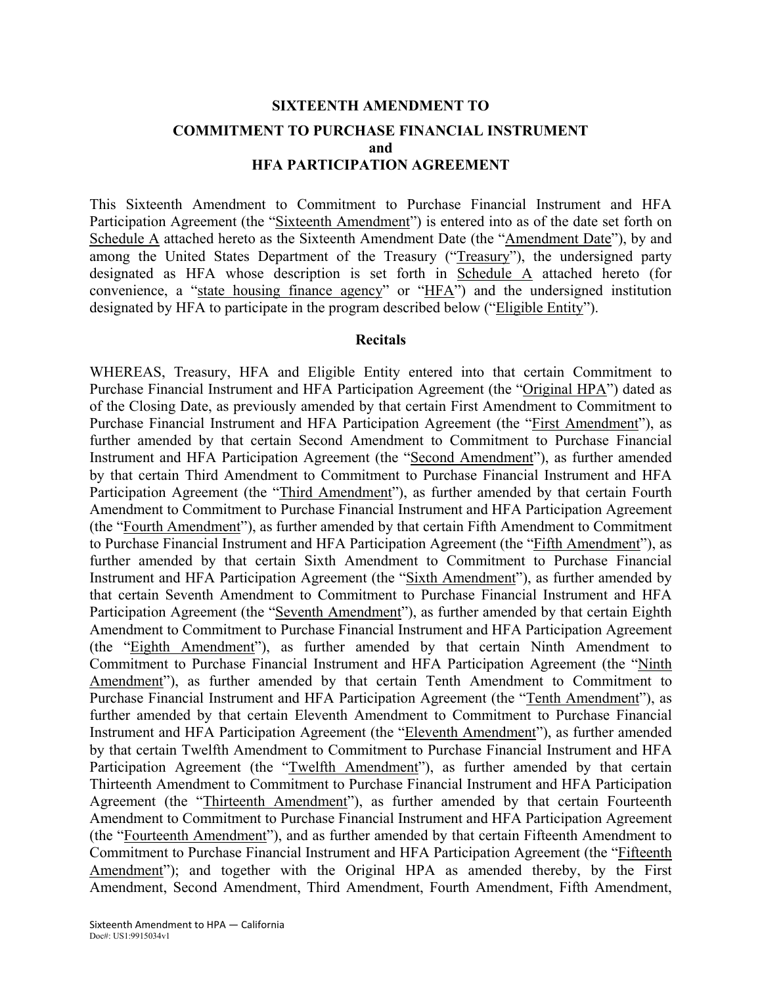# **SIXTEENTH AMENDMENT TO COMMITMENT TO PURCHASE FINANCIAL INSTRUMENT and HFA PARTICIPATION AGREEMENT**

This Sixteenth Amendment to Commitment to Purchase Financial Instrument and HFA Participation Agreement (the "Sixteenth Amendment") is entered into as of the date set forth on Schedule A attached hereto as the Sixteenth Amendment Date (the "Amendment Date"), by and among the United States Department of the Treasury ("Treasury"), the undersigned party designated as HFA whose description is set forth in Schedule A attached hereto (for convenience, a "state housing finance agency" or "HFA") and the undersigned institution designated by HFA to participate in the program described below ("Eligible Entity").

### **Recitals**

WHEREAS, Treasury, HFA and Eligible Entity entered into that certain Commitment to Purchase Financial Instrument and HFA Participation Agreement (the "Original HPA") dated as of the Closing Date, as previously amended by that certain First Amendment to Commitment to Purchase Financial Instrument and HFA Participation Agreement (the "First Amendment"), as further amended by that certain Second Amendment to Commitment to Purchase Financial Instrument and HFA Participation Agreement (the "Second Amendment"), as further amended by that certain Third Amendment to Commitment to Purchase Financial Instrument and HFA Participation Agreement (the "Third Amendment"), as further amended by that certain Fourth Amendment to Commitment to Purchase Financial Instrument and HFA Participation Agreement (the "Fourth Amendment"), as further amended by that certain Fifth Amendment to Commitment to Purchase Financial Instrument and HFA Participation Agreement (the "Fifth Amendment"), as further amended by that certain Sixth Amendment to Commitment to Purchase Financial Instrument and HFA Participation Agreement (the "Sixth Amendment"), as further amended by that certain Seventh Amendment to Commitment to Purchase Financial Instrument and HFA Participation Agreement (the "Seventh Amendment"), as further amended by that certain Eighth Amendment to Commitment to Purchase Financial Instrument and HFA Participation Agreement (the "Eighth Amendment"), as further amended by that certain Ninth Amendment to Commitment to Purchase Financial Instrument and HFA Participation Agreement (the "Ninth Amendment"), as further amended by that certain Tenth Amendment to Commitment to Purchase Financial Instrument and HFA Participation Agreement (the "Tenth Amendment"), as further amended by that certain Eleventh Amendment to Commitment to Purchase Financial Instrument and HFA Participation Agreement (the "Eleventh Amendment"), as further amended by that certain Twelfth Amendment to Commitment to Purchase Financial Instrument and HFA Participation Agreement (the "Twelfth Amendment"), as further amended by that certain Thirteenth Amendment to Commitment to Purchase Financial Instrument and HFA Participation Agreement (the "Thirteenth Amendment"), as further amended by that certain Fourteenth Amendment to Commitment to Purchase Financial Instrument and HFA Participation Agreement (the "Fourteenth Amendment"), and as further amended by that certain Fifteenth Amendment to Commitment to Purchase Financial Instrument and HFA Participation Agreement (the "Fifteenth Amendment"); and together with the Original HPA as amended thereby, by the First Amendment, Second Amendment, Third Amendment, Fourth Amendment, Fifth Amendment,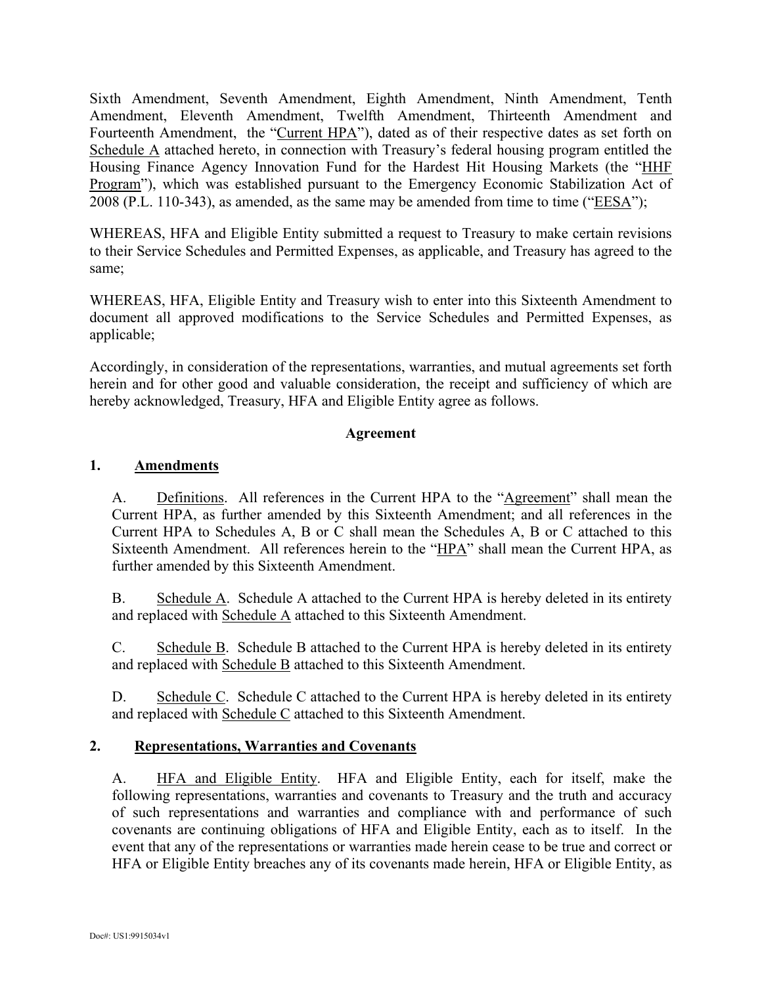Sixth Amendment, Seventh Amendment, Eighth Amendment, Ninth Amendment, Tenth Amendment, Eleventh Amendment, Twelfth Amendment, Thirteenth Amendment and Fourteenth Amendment, the "Current HPA"), dated as of their respective dates as set forth on Schedule A attached hereto, in connection with Treasury's federal housing program entitled the Housing Finance Agency Innovation Fund for the Hardest Hit Housing Markets (the "HHF Program"), which was established pursuant to the Emergency Economic Stabilization Act of 2008 (P.L. 110-343), as amended, as the same may be amended from time to time ("EESA");

WHEREAS, HFA and Eligible Entity submitted a request to Treasury to make certain revisions to their Service Schedules and Permitted Expenses, as applicable, and Treasury has agreed to the same;

WHEREAS, HFA, Eligible Entity and Treasury wish to enter into this Sixteenth Amendment to document all approved modifications to the Service Schedules and Permitted Expenses, as applicable;

Accordingly, in consideration of the representations, warranties, and mutual agreements set forth herein and for other good and valuable consideration, the receipt and sufficiency of which are hereby acknowledged, Treasury, HFA and Eligible Entity agree as follows.

### **Agreement**

### **1. Amendments**

A. Definitions. All references in the Current HPA to the "Agreement" shall mean the Current HPA, as further amended by this Sixteenth Amendment; and all references in the Current HPA to Schedules A, B or C shall mean the Schedules A, B or C attached to this Sixteenth Amendment. All references herein to the "HPA" shall mean the Current HPA, as further amended by this Sixteenth Amendment.

B. Schedule A. Schedule A attached to the Current HPA is hereby deleted in its entirety and replaced with Schedule A attached to this Sixteenth Amendment.

C. Schedule B. Schedule B attached to the Current HPA is hereby deleted in its entirety and replaced with Schedule B attached to this Sixteenth Amendment.

D. Schedule C. Schedule C attached to the Current HPA is hereby deleted in its entirety and replaced with Schedule C attached to this Sixteenth Amendment.

### **2. Representations, Warranties and Covenants**

A. HFA and Eligible Entity. HFA and Eligible Entity, each for itself, make the following representations, warranties and covenants to Treasury and the truth and accuracy of such representations and warranties and compliance with and performance of such covenants are continuing obligations of HFA and Eligible Entity, each as to itself. In the event that any of the representations or warranties made herein cease to be true and correct or HFA or Eligible Entity breaches any of its covenants made herein, HFA or Eligible Entity, as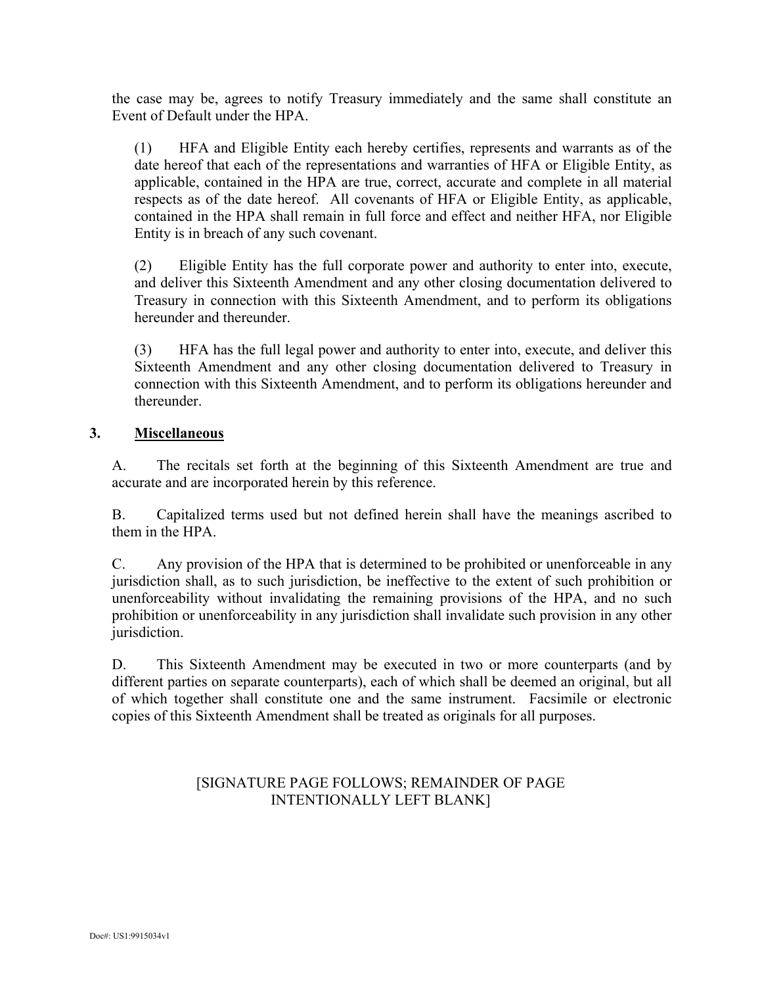the case may be, agrees to notify Treasury immediately and the same shall constitute an Event of Default under the HPA.

(1) HFA and Eligible Entity each hereby certifies, represents and warrants as of the date hereof that each of the representations and warranties of HFA or Eligible Entity, as applicable, contained in the HPA are true, correct, accurate and complete in all material respects as of the date hereof. All covenants of HFA or Eligible Entity, as applicable, contained in the HPA shall remain in full force and effect and neither HFA, nor Eligible Entity is in breach of any such covenant.

(2) Eligible Entity has the full corporate power and authority to enter into, execute, and deliver this Sixteenth Amendment and any other closing documentation delivered to Treasury in connection with this Sixteenth Amendment, and to perform its obligations hereunder and thereunder.

(3) HFA has the full legal power and authority to enter into, execute, and deliver this Sixteenth Amendment and any other closing documentation delivered to Treasury in connection with this Sixteenth Amendment, and to perform its obligations hereunder and thereunder.

### **3. Miscellaneous**

A. The recitals set forth at the beginning of this Sixteenth Amendment are true and accurate and are incorporated herein by this reference.

B. Capitalized terms used but not defined herein shall have the meanings ascribed to them in the HPA.

C. Any provision of the HPA that is determined to be prohibited or unenforceable in any jurisdiction shall, as to such jurisdiction, be ineffective to the extent of such prohibition or unenforceability without invalidating the remaining provisions of the HPA, and no such prohibition or unenforceability in any jurisdiction shall invalidate such provision in any other jurisdiction.

D. This Sixteenth Amendment may be executed in two or more counterparts (and by different parties on separate counterparts), each of which shall be deemed an original, but all of which together shall constitute one and the same instrument. Facsimile or electronic copies of this Sixteenth Amendment shall be treated as originals for all purposes.

### [SIGNATURE PAGE FOLLOWS; REMAINDER OF PAGE INTENTIONALLY LEFT BLANK]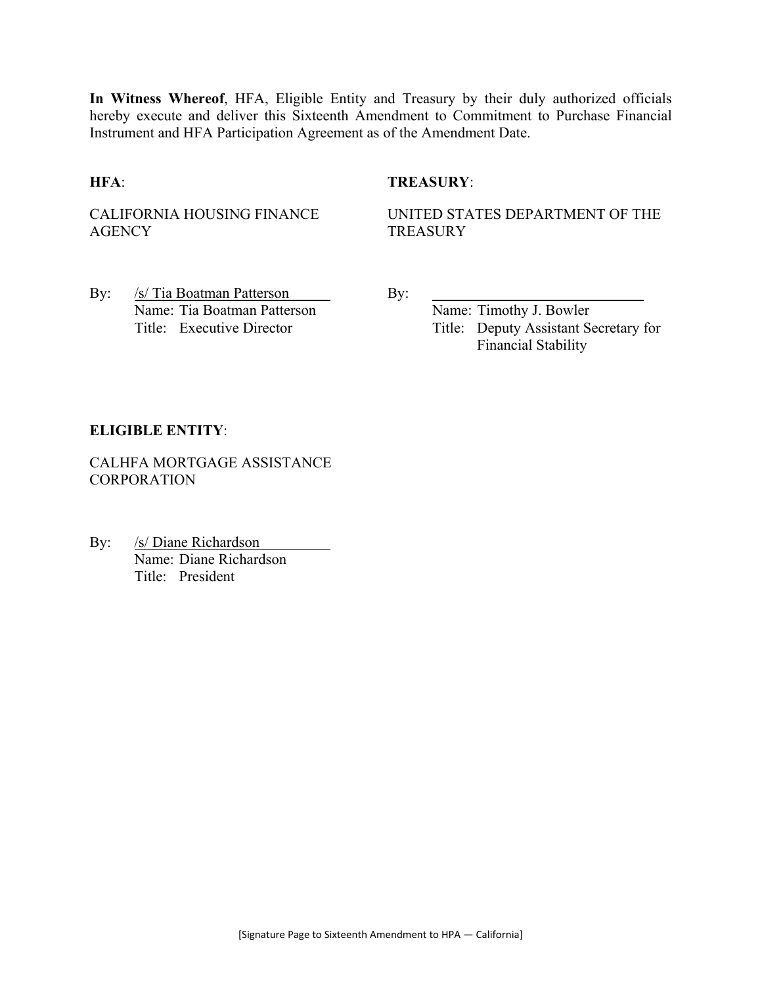**In Witness Whereof**, HFA, Eligible Entity and Treasury by their duly authorized officials hereby execute and deliver this Sixteenth Amendment to Commitment to Purchase Financial Instrument and HFA Participation Agreement as of the Amendment Date.

### **HFA**: **TREASURY**:

CALIFORNIA HOUSING FINANCE **AGENCY** 

UNITED STATES DEPARTMENT OF THE **TREASURY** 

By: /s/ Tia Boatman Patterson By: Name: Tia Boatman Patterson Name: Timothy J. Bowler

Title: Executive Director Title: Deputy Assistant Secretary for Financial Stability

### **ELIGIBLE ENTITY**:

CALHFA MORTGAGE ASSISTANCE **CORPORATION** 

By: /s/ Diane Richardson Name: Diane Richardson Title: President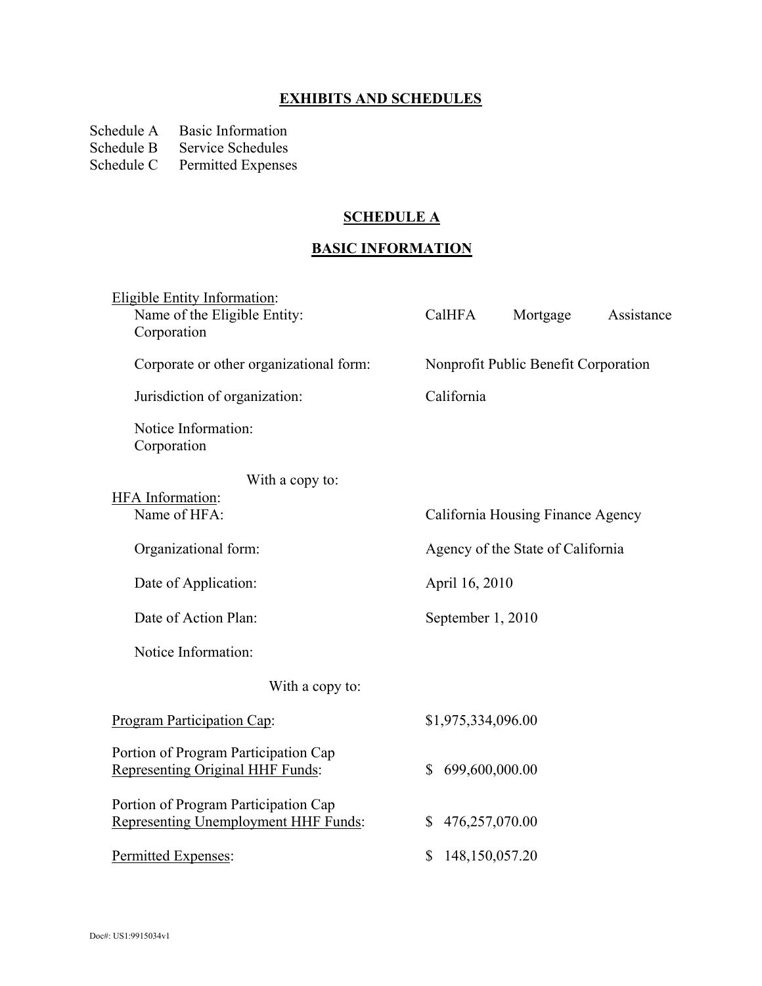# **EXHIBITS AND SCHEDULES**

Schedule A Basic Information<br>Schedule B Service Schedules

Schedule B Service Schedules<br>Schedule C Permitted Expense

Permitted Expenses

## **SCHEDULE A**

# **BASIC INFORMATION**

| <b>Eligible Entity Information:</b><br>Name of the Eligible Entity:<br>Corporation | CalHFA                         | Mortgage                             | Assistance |
|------------------------------------------------------------------------------------|--------------------------------|--------------------------------------|------------|
| Corporate or other organizational form:                                            |                                | Nonprofit Public Benefit Corporation |            |
| Jurisdiction of organization:                                                      | California                     |                                      |            |
| Notice Information:<br>Corporation                                                 |                                |                                      |            |
| With a copy to:                                                                    |                                |                                      |            |
| <b>HFA</b> Information:<br>Name of HFA:                                            |                                | California Housing Finance Agency    |            |
| Organizational form:                                                               |                                | Agency of the State of California    |            |
| Date of Application:                                                               | April 16, 2010                 |                                      |            |
| Date of Action Plan:                                                               | September 1, 2010              |                                      |            |
| Notice Information:                                                                |                                |                                      |            |
| With a copy to:                                                                    |                                |                                      |            |
| <b>Program Participation Cap:</b>                                                  | \$1,975,334,096.00             |                                      |            |
| Portion of Program Participation Cap<br>Representing Original HHF Funds:           | 699,600,000.00<br>$\mathbb{S}$ |                                      |            |
| Portion of Program Participation Cap<br>Representing Unemployment HHF Funds:       | 476,257,070.00<br>\$           |                                      |            |
| Permitted Expenses:                                                                | \$<br>148,150,057.20           |                                      |            |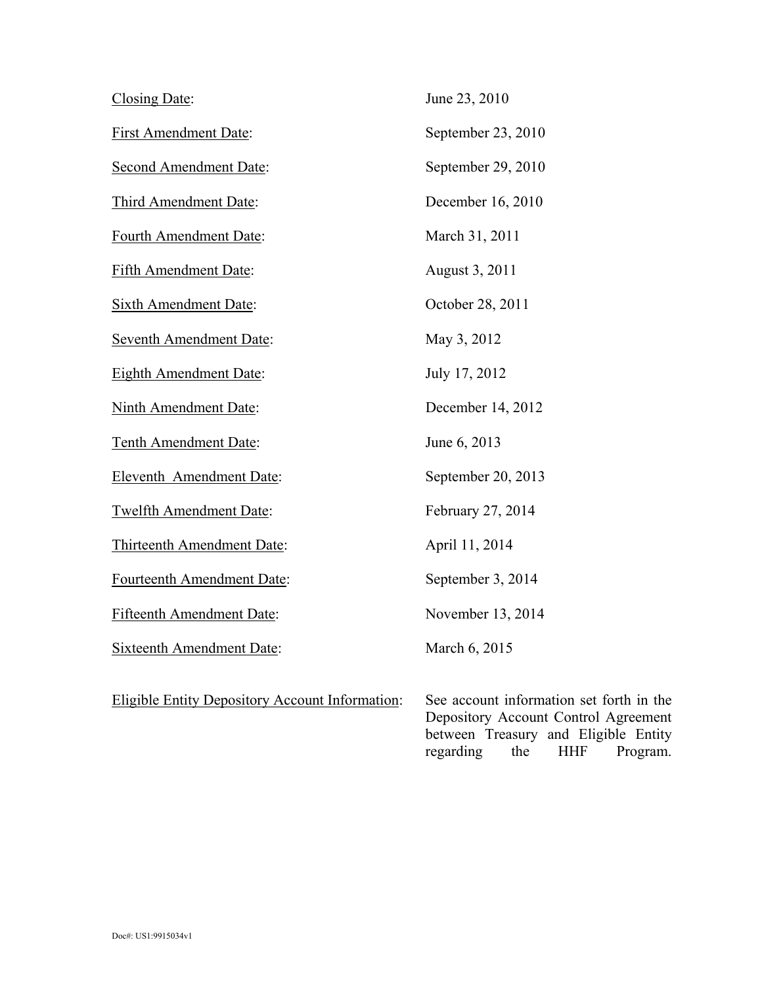| Closing Date:                    | June 23, 2010      |
|----------------------------------|--------------------|
| <b>First Amendment Date:</b>     | September 23, 2010 |
| <b>Second Amendment Date:</b>    | September 29, 2010 |
| Third Amendment Date:            | December 16, 2010  |
| Fourth Amendment Date:           | March 31, 2011     |
| Fifth Amendment Date:            | August 3, 2011     |
| <b>Sixth Amendment Date:</b>     | October 28, 2011   |
| <b>Seventh Amendment Date:</b>   | May 3, 2012        |
| <b>Eighth Amendment Date:</b>    | July 17, 2012      |
| <b>Ninth Amendment Date:</b>     | December 14, 2012  |
| Tenth Amendment Date:            | June 6, 2013       |
| Eleventh Amendment Date:         | September 20, 2013 |
| <b>Twelfth Amendment Date:</b>   | February 27, 2014  |
| Thirteenth Amendment Date:       | April 11, 2014     |
| Fourteenth Amendment Date:       | September 3, 2014  |
| <b>Fifteenth Amendment Date:</b> | November 13, 2014  |
| <b>Sixteenth Amendment Date:</b> | March 6, 2015      |

Eligible Entity Depository Account Information: See account information set forth in the

Depository Account Control Agreement between Treasury and Eligible Entity regarding the HHF Program.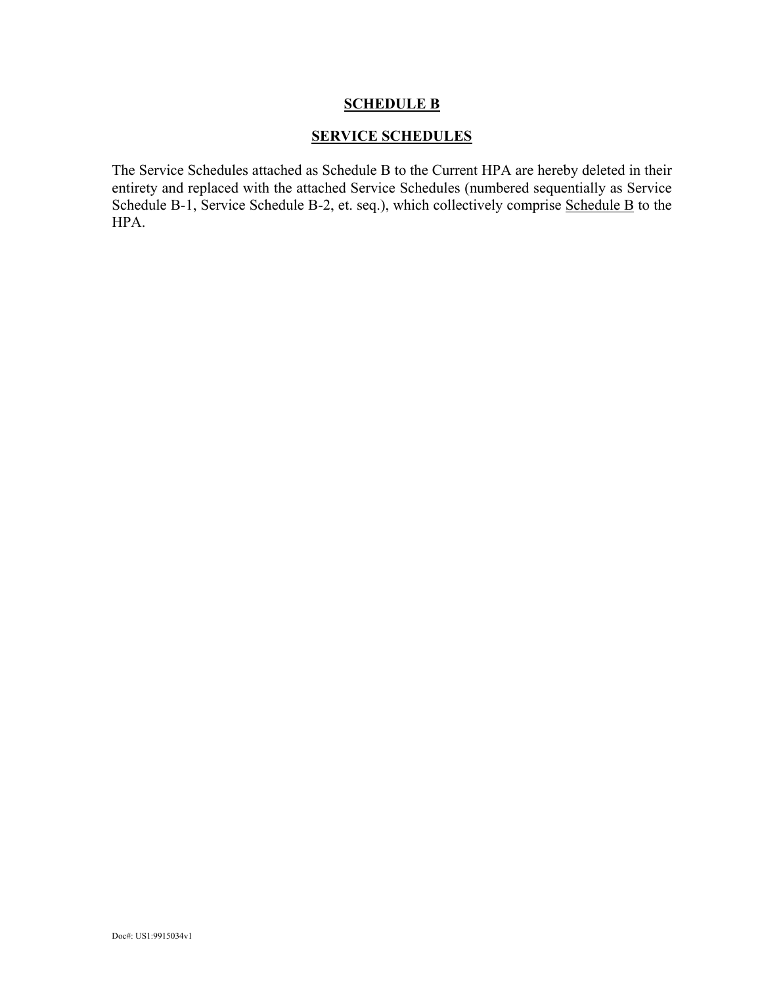### **SERVICE SCHEDULES**

The Service Schedules attached as Schedule B to the Current HPA are hereby deleted in their entirety and replaced with the attached Service Schedules (numbered sequentially as Service Schedule B-1, Service Schedule B-2, et. seq.), which collectively comprise Schedule B to the HPA.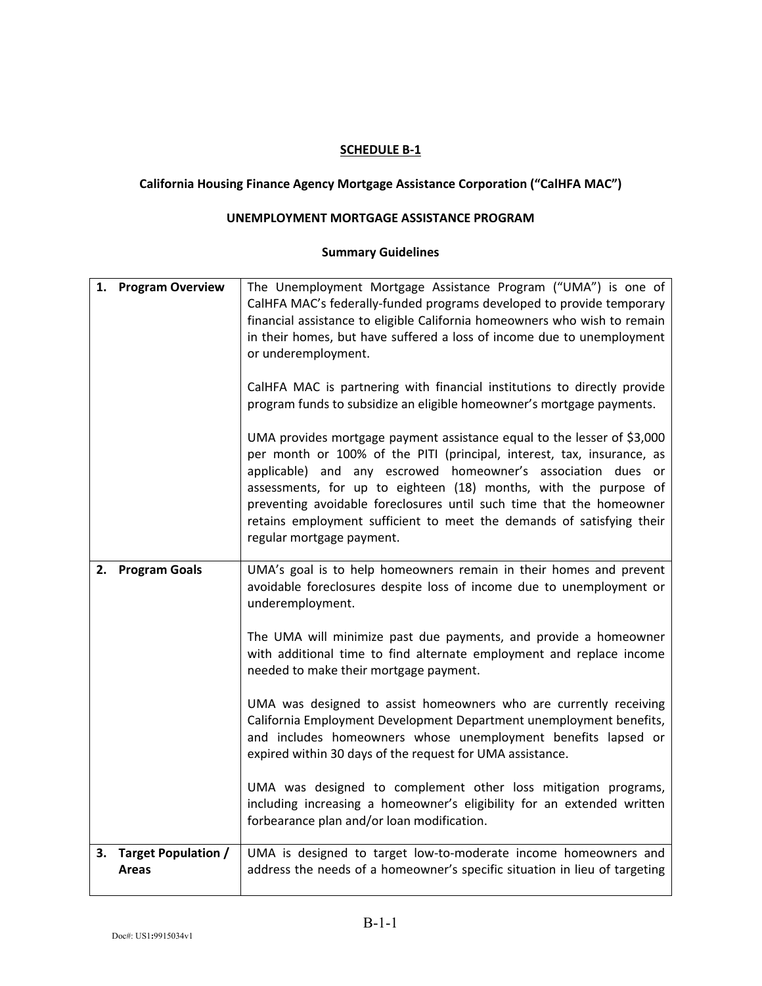### **California Housing Finance Agency Mortgage Assistance Corporation ("CalHFA MAC")**

### **UNEMPLOYMENT MORTGAGE ASSISTANCE PROGRAM**

| 1. | <b>Program Overview</b>                | The Unemployment Mortgage Assistance Program ("UMA") is one of<br>CalHFA MAC's federally-funded programs developed to provide temporary<br>financial assistance to eligible California homeowners who wish to remain<br>in their homes, but have suffered a loss of income due to unemployment<br>or underemployment.<br>CalHFA MAC is partnering with financial institutions to directly provide<br>program funds to subsidize an eligible homeowner's mortgage payments.<br>UMA provides mortgage payment assistance equal to the lesser of \$3,000<br>per month or 100% of the PITI (principal, interest, tax, insurance, as<br>applicable) and any escrowed homeowner's association dues or<br>assessments, for up to eighteen (18) months, with the purpose of<br>preventing avoidable foreclosures until such time that the homeowner<br>retains employment sufficient to meet the demands of satisfying their<br>regular mortgage payment. |
|----|----------------------------------------|---------------------------------------------------------------------------------------------------------------------------------------------------------------------------------------------------------------------------------------------------------------------------------------------------------------------------------------------------------------------------------------------------------------------------------------------------------------------------------------------------------------------------------------------------------------------------------------------------------------------------------------------------------------------------------------------------------------------------------------------------------------------------------------------------------------------------------------------------------------------------------------------------------------------------------------------------|
|    | 2. Program Goals                       | UMA's goal is to help homeowners remain in their homes and prevent<br>avoidable foreclosures despite loss of income due to unemployment or<br>underemployment.<br>The UMA will minimize past due payments, and provide a homeowner<br>with additional time to find alternate employment and replace income<br>needed to make their mortgage payment.<br>UMA was designed to assist homeowners who are currently receiving<br>California Employment Development Department unemployment benefits,<br>and includes homeowners whose unemployment benefits lapsed or<br>expired within 30 days of the request for UMA assistance.<br>UMA was designed to complement other loss mitigation programs,<br>including increasing a homeowner's eligibility for an extended written<br>forbearance plan and/or loan modification.                                                                                                                          |
|    | 3. Target Population /<br><b>Areas</b> | UMA is designed to target low-to-moderate income homeowners and<br>address the needs of a homeowner's specific situation in lieu of targeting                                                                                                                                                                                                                                                                                                                                                                                                                                                                                                                                                                                                                                                                                                                                                                                                     |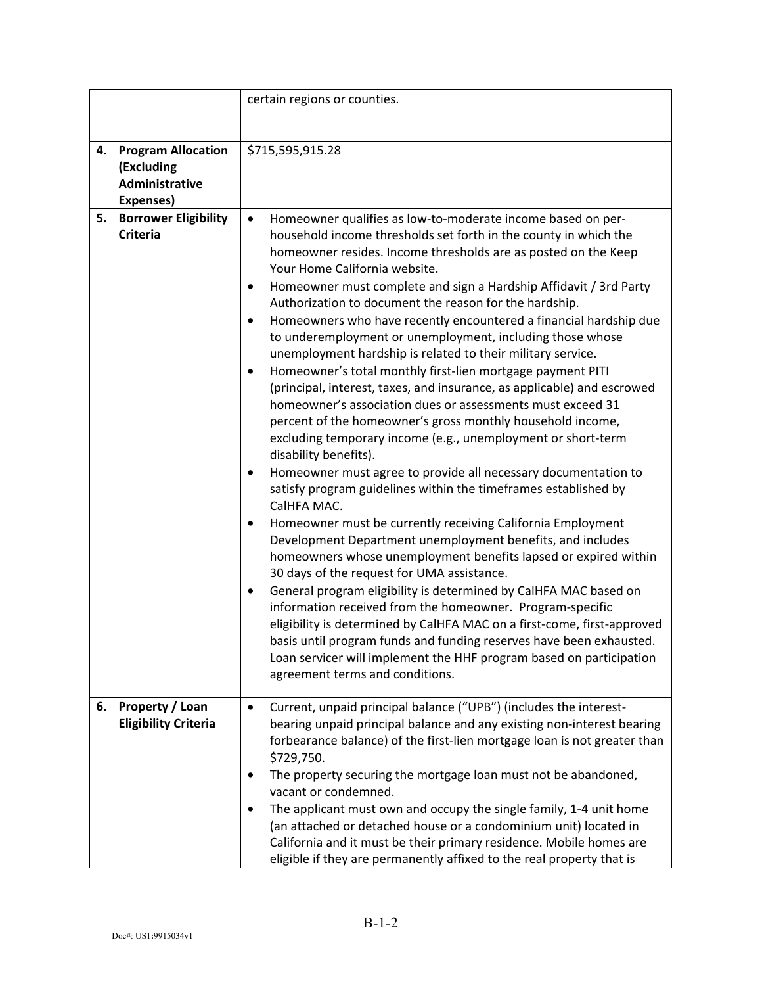|    |                                                                        | certain regions or counties.                                                                                                                                                                                                                                                                                                                                                                                                                                                                                                                                                                                                                                                                                                                                                                                                                                                                                                                                                                                                                                                                                                                                                                                                                                                                                                                                                                                                                                                                                                                                                                                                                                                                                                                                                          |
|----|------------------------------------------------------------------------|---------------------------------------------------------------------------------------------------------------------------------------------------------------------------------------------------------------------------------------------------------------------------------------------------------------------------------------------------------------------------------------------------------------------------------------------------------------------------------------------------------------------------------------------------------------------------------------------------------------------------------------------------------------------------------------------------------------------------------------------------------------------------------------------------------------------------------------------------------------------------------------------------------------------------------------------------------------------------------------------------------------------------------------------------------------------------------------------------------------------------------------------------------------------------------------------------------------------------------------------------------------------------------------------------------------------------------------------------------------------------------------------------------------------------------------------------------------------------------------------------------------------------------------------------------------------------------------------------------------------------------------------------------------------------------------------------------------------------------------------------------------------------------------|
| 4. | <b>Program Allocation</b><br>(Excluding<br>Administrative<br>Expenses) | \$715,595,915.28                                                                                                                                                                                                                                                                                                                                                                                                                                                                                                                                                                                                                                                                                                                                                                                                                                                                                                                                                                                                                                                                                                                                                                                                                                                                                                                                                                                                                                                                                                                                                                                                                                                                                                                                                                      |
| 5. | <b>Borrower Eligibility</b><br><b>Criteria</b>                         | Homeowner qualifies as low-to-moderate income based on per-<br>$\bullet$<br>household income thresholds set forth in the county in which the<br>homeowner resides. Income thresholds are as posted on the Keep<br>Your Home California website.<br>Homeowner must complete and sign a Hardship Affidavit / 3rd Party<br>$\bullet$<br>Authorization to document the reason for the hardship.<br>Homeowners who have recently encountered a financial hardship due<br>٠<br>to underemployment or unemployment, including those whose<br>unemployment hardship is related to their military service.<br>Homeowner's total monthly first-lien mortgage payment PITI<br>(principal, interest, taxes, and insurance, as applicable) and escrowed<br>homeowner's association dues or assessments must exceed 31<br>percent of the homeowner's gross monthly household income,<br>excluding temporary income (e.g., unemployment or short-term<br>disability benefits).<br>Homeowner must agree to provide all necessary documentation to<br>٠<br>satisfy program guidelines within the timeframes established by<br>CalHFA MAC.<br>Homeowner must be currently receiving California Employment<br>٠<br>Development Department unemployment benefits, and includes<br>homeowners whose unemployment benefits lapsed or expired within<br>30 days of the request for UMA assistance.<br>General program eligibility is determined by CalHFA MAC based on<br>$\bullet$<br>information received from the homeowner. Program-specific<br>eligibility is determined by CalHFA MAC on a first-come, first-approved<br>basis until program funds and funding reserves have been exhausted.<br>Loan servicer will implement the HHF program based on participation<br>agreement terms and conditions. |
| 6. | Property / Loan<br><b>Eligibility Criteria</b>                         | Current, unpaid principal balance ("UPB") (includes the interest-<br>$\bullet$<br>bearing unpaid principal balance and any existing non-interest bearing<br>forbearance balance) of the first-lien mortgage loan is not greater than<br>\$729,750.<br>The property securing the mortgage loan must not be abandoned,<br>vacant or condemned.<br>The applicant must own and occupy the single family, 1-4 unit home<br>٠<br>(an attached or detached house or a condominium unit) located in<br>California and it must be their primary residence. Mobile homes are<br>eligible if they are permanently affixed to the real property that is                                                                                                                                                                                                                                                                                                                                                                                                                                                                                                                                                                                                                                                                                                                                                                                                                                                                                                                                                                                                                                                                                                                                           |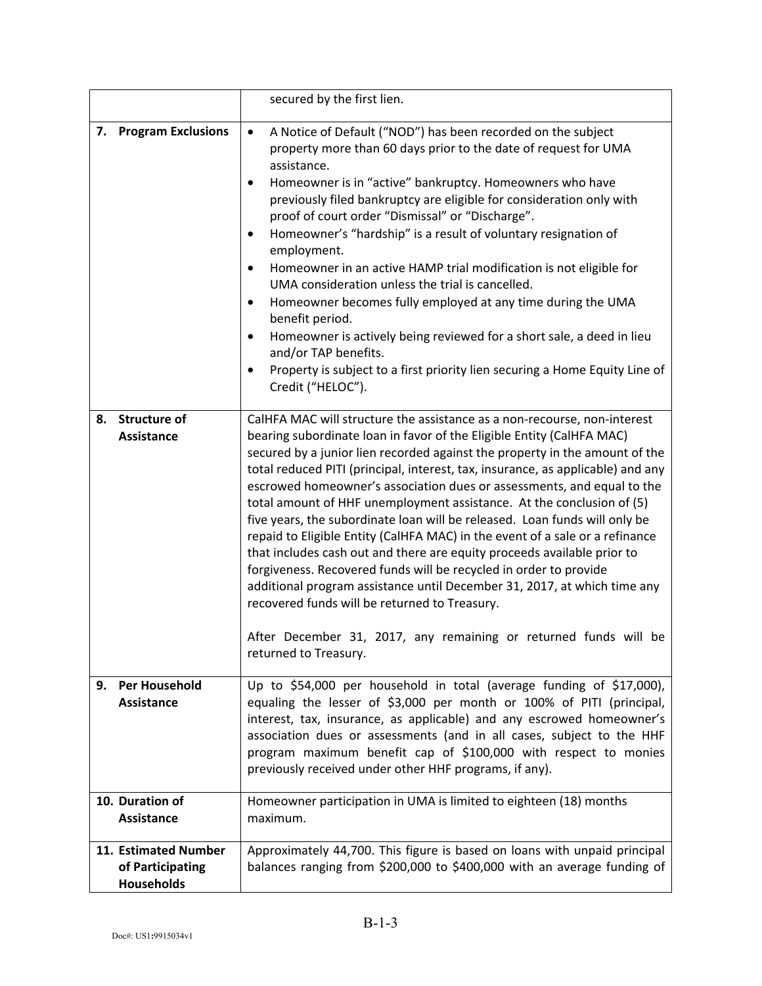|                                                               | secured by the first lien.                                                                                                                                                                                                                                                                                                                                                                                                                                                                                                                                                                                                                                                                                                                                                                                                                                                                                                                                                                                     |
|---------------------------------------------------------------|----------------------------------------------------------------------------------------------------------------------------------------------------------------------------------------------------------------------------------------------------------------------------------------------------------------------------------------------------------------------------------------------------------------------------------------------------------------------------------------------------------------------------------------------------------------------------------------------------------------------------------------------------------------------------------------------------------------------------------------------------------------------------------------------------------------------------------------------------------------------------------------------------------------------------------------------------------------------------------------------------------------|
| 7. Program Exclusions                                         | A Notice of Default ("NOD") has been recorded on the subject<br>$\bullet$<br>property more than 60 days prior to the date of request for UMA<br>assistance.<br>Homeowner is in "active" bankruptcy. Homeowners who have<br>$\bullet$<br>previously filed bankruptcy are eligible for consideration only with<br>proof of court order "Dismissal" or "Discharge".<br>Homeowner's "hardship" is a result of voluntary resignation of<br>$\bullet$<br>employment.<br>Homeowner in an active HAMP trial modification is not eligible for<br>$\bullet$<br>UMA consideration unless the trial is cancelled.<br>Homeowner becomes fully employed at any time during the UMA<br>$\bullet$<br>benefit period.<br>Homeowner is actively being reviewed for a short sale, a deed in lieu<br>and/or TAP benefits.<br>Property is subject to a first priority lien securing a Home Equity Line of<br>$\bullet$<br>Credit ("HELOC").                                                                                         |
| <b>Structure of</b><br>8.<br><b>Assistance</b>                | CalHFA MAC will structure the assistance as a non-recourse, non-interest<br>bearing subordinate loan in favor of the Eligible Entity (CalHFA MAC)<br>secured by a junior lien recorded against the property in the amount of the<br>total reduced PITI (principal, interest, tax, insurance, as applicable) and any<br>escrowed homeowner's association dues or assessments, and equal to the<br>total amount of HHF unemployment assistance. At the conclusion of (5)<br>five years, the subordinate loan will be released. Loan funds will only be<br>repaid to Eligible Entity (CalHFA MAC) in the event of a sale or a refinance<br>that includes cash out and there are equity proceeds available prior to<br>forgiveness. Recovered funds will be recycled in order to provide<br>additional program assistance until December 31, 2017, at which time any<br>recovered funds will be returned to Treasury.<br>After December 31, 2017, any remaining or returned funds will be<br>returned to Treasury. |
| Per Household<br>9.<br>Assistance                             | Up to \$54,000 per household in total (average funding of \$17,000),<br>equaling the lesser of \$3,000 per month or 100% of PITI (principal,<br>interest, tax, insurance, as applicable) and any escrowed homeowner's<br>association dues or assessments (and in all cases, subject to the HHF<br>program maximum benefit cap of \$100,000 with respect to monies<br>previously received under other HHF programs, if any).                                                                                                                                                                                                                                                                                                                                                                                                                                                                                                                                                                                    |
| 10. Duration of<br>Assistance                                 | Homeowner participation in UMA is limited to eighteen (18) months<br>maximum.                                                                                                                                                                                                                                                                                                                                                                                                                                                                                                                                                                                                                                                                                                                                                                                                                                                                                                                                  |
| 11. Estimated Number<br>of Participating<br><b>Households</b> | Approximately 44,700. This figure is based on loans with unpaid principal<br>balances ranging from \$200,000 to \$400,000 with an average funding of                                                                                                                                                                                                                                                                                                                                                                                                                                                                                                                                                                                                                                                                                                                                                                                                                                                           |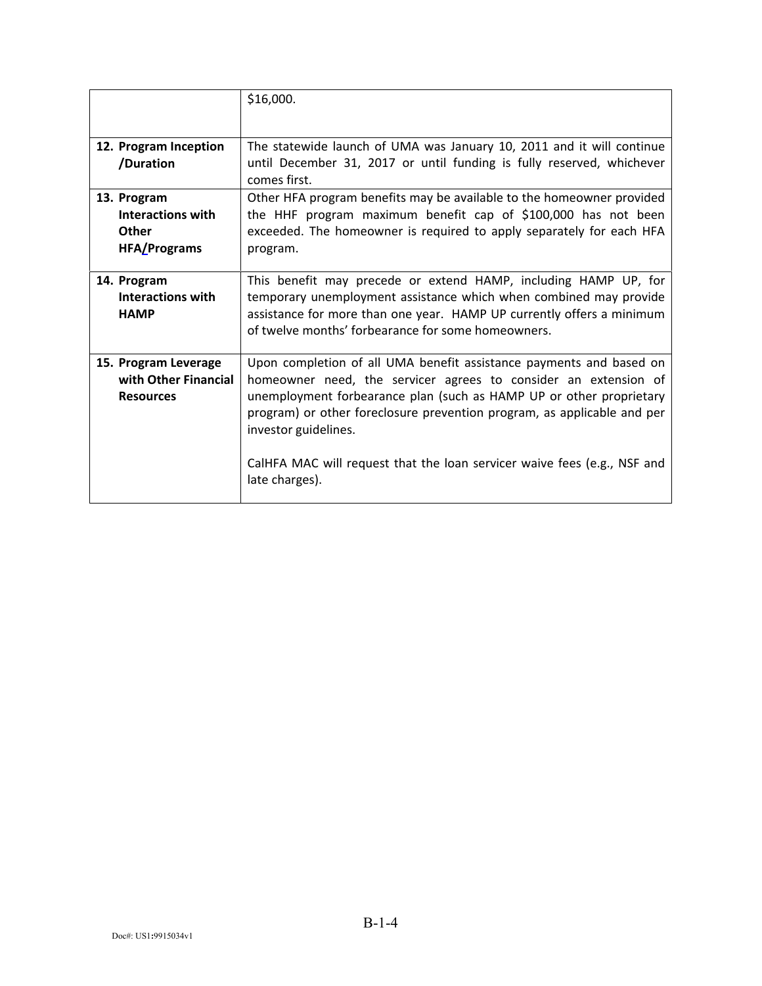|                                                                                | \$16,000.                                                                                                                                                                                                                                                                                                                                                                                                      |
|--------------------------------------------------------------------------------|----------------------------------------------------------------------------------------------------------------------------------------------------------------------------------------------------------------------------------------------------------------------------------------------------------------------------------------------------------------------------------------------------------------|
| 12. Program Inception<br>/Duration                                             | The statewide launch of UMA was January 10, 2011 and it will continue<br>until December 31, 2017 or until funding is fully reserved, whichever<br>comes first.                                                                                                                                                                                                                                                 |
| 13. Program<br><b>Interactions with</b><br><b>Other</b><br><b>HFA/Programs</b> | Other HFA program benefits may be available to the homeowner provided<br>the HHF program maximum benefit cap of \$100,000 has not been<br>exceeded. The homeowner is required to apply separately for each HFA<br>program.                                                                                                                                                                                     |
| 14. Program<br>Interactions with<br><b>HAMP</b>                                | This benefit may precede or extend HAMP, including HAMP UP, for<br>temporary unemployment assistance which when combined may provide<br>assistance for more than one year. HAMP UP currently offers a minimum<br>of twelve months' forbearance for some homeowners.                                                                                                                                            |
| 15. Program Leverage<br>with Other Financial<br><b>Resources</b>               | Upon completion of all UMA benefit assistance payments and based on<br>homeowner need, the servicer agrees to consider an extension of<br>unemployment forbearance plan (such as HAMP UP or other proprietary<br>program) or other foreclosure prevention program, as applicable and per<br>investor guidelines.<br>CalHFA MAC will request that the loan servicer waive fees (e.g., NSF and<br>late charges). |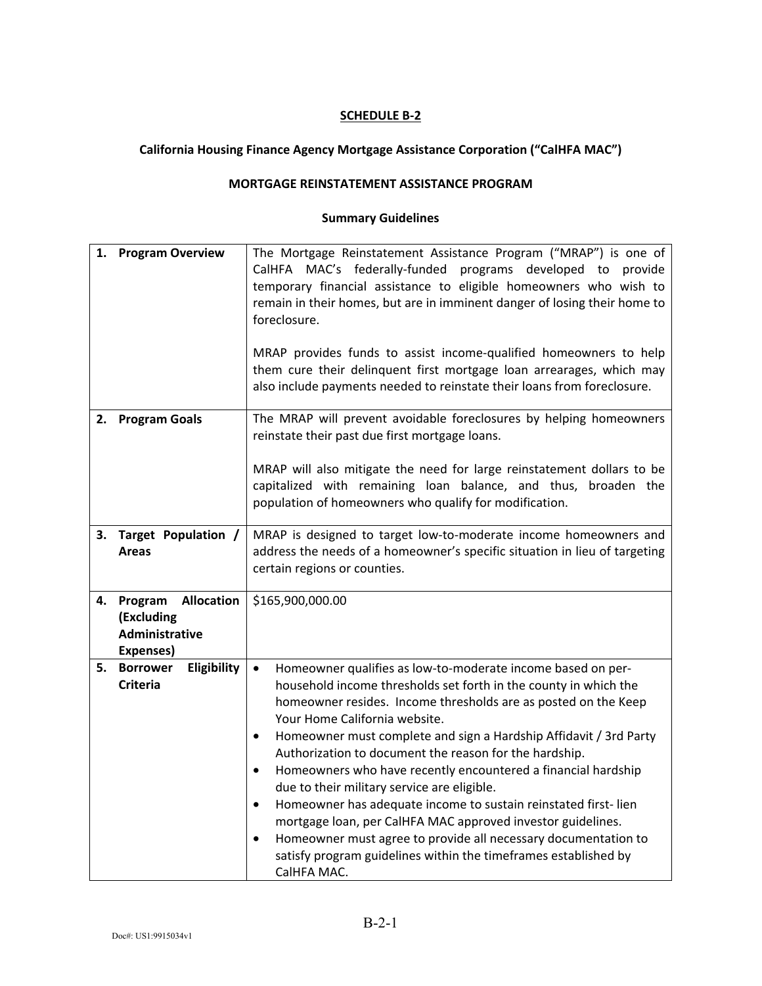# **California Housing Finance Agency Mortgage Assistance Corporation ("CalHFA MAC")**

### **MORTGAGE REINSTATEMENT ASSISTANCE PROGRAM**

| 1. | <b>Program Overview</b>                                                   | The Mortgage Reinstatement Assistance Program ("MRAP") is one of<br>CalHFA MAC's federally-funded programs developed to provide<br>temporary financial assistance to eligible homeowners who wish to<br>remain in their homes, but are in imminent danger of losing their home to<br>foreclosure.<br>MRAP provides funds to assist income-qualified homeowners to help<br>them cure their delinquent first mortgage loan arrearages, which may<br>also include payments needed to reinstate their loans from foreclosure.                                                                                                                                                                                                                                                                                                               |
|----|---------------------------------------------------------------------------|-----------------------------------------------------------------------------------------------------------------------------------------------------------------------------------------------------------------------------------------------------------------------------------------------------------------------------------------------------------------------------------------------------------------------------------------------------------------------------------------------------------------------------------------------------------------------------------------------------------------------------------------------------------------------------------------------------------------------------------------------------------------------------------------------------------------------------------------|
|    | 2. Program Goals                                                          | The MRAP will prevent avoidable foreclosures by helping homeowners<br>reinstate their past due first mortgage loans.<br>MRAP will also mitigate the need for large reinstatement dollars to be<br>capitalized with remaining loan balance, and thus, broaden the<br>population of homeowners who qualify for modification.                                                                                                                                                                                                                                                                                                                                                                                                                                                                                                              |
| 3. | Target Population /<br>Areas                                              | MRAP is designed to target low-to-moderate income homeowners and<br>address the needs of a homeowner's specific situation in lieu of targeting<br>certain regions or counties.                                                                                                                                                                                                                                                                                                                                                                                                                                                                                                                                                                                                                                                          |
| 4. | Program<br><b>Allocation</b><br>(Excluding<br>Administrative<br>Expenses) | \$165,900,000.00                                                                                                                                                                                                                                                                                                                                                                                                                                                                                                                                                                                                                                                                                                                                                                                                                        |
| 5. | Eligibility<br><b>Borrower</b><br><b>Criteria</b>                         | Homeowner qualifies as low-to-moderate income based on per-<br>$\bullet$<br>household income thresholds set forth in the county in which the<br>homeowner resides. Income thresholds are as posted on the Keep<br>Your Home California website.<br>Homeowner must complete and sign a Hardship Affidavit / 3rd Party<br>$\bullet$<br>Authorization to document the reason for the hardship.<br>Homeowners who have recently encountered a financial hardship<br>$\bullet$<br>due to their military service are eligible.<br>Homeowner has adequate income to sustain reinstated first-lien<br>$\bullet$<br>mortgage loan, per CalHFA MAC approved investor guidelines.<br>Homeowner must agree to provide all necessary documentation to<br>$\bullet$<br>satisfy program guidelines within the timeframes established by<br>CalHFA MAC. |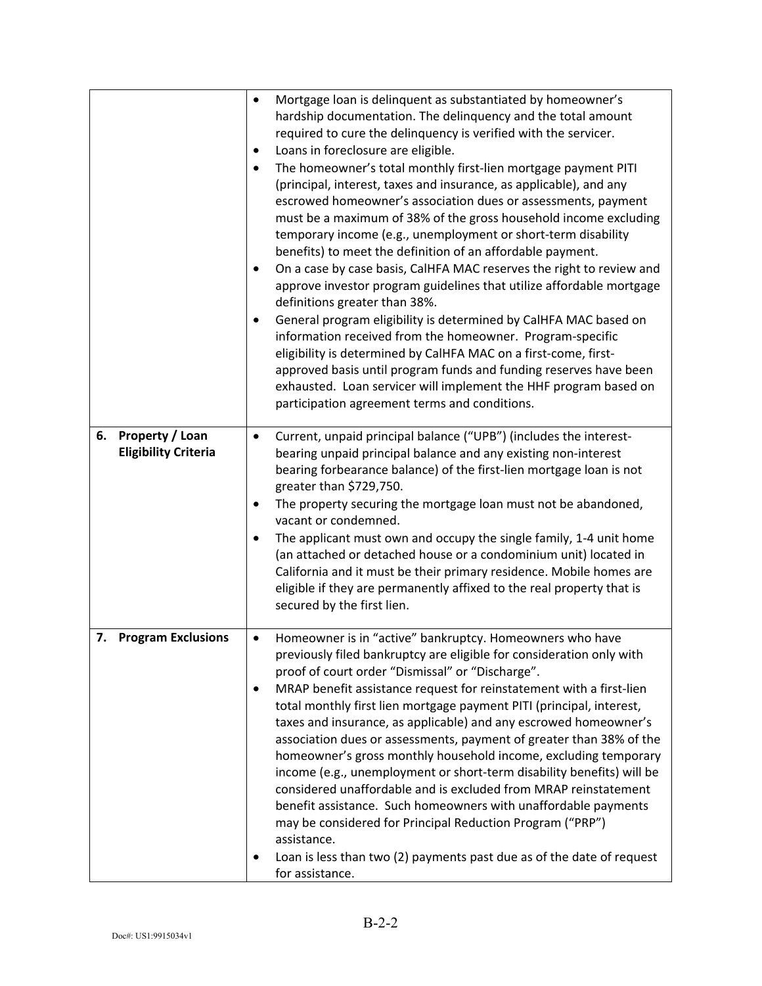|    |                                                | Mortgage loan is delinquent as substantiated by homeowner's<br>hardship documentation. The delinquency and the total amount<br>required to cure the delinquency is verified with the servicer.<br>Loans in foreclosure are eligible.<br>The homeowner's total monthly first-lien mortgage payment PITI<br>(principal, interest, taxes and insurance, as applicable), and any<br>escrowed homeowner's association dues or assessments, payment<br>must be a maximum of 38% of the gross household income excluding<br>temporary income (e.g., unemployment or short-term disability<br>benefits) to meet the definition of an affordable payment.<br>On a case by case basis, CalHFA MAC reserves the right to review and<br>approve investor program guidelines that utilize affordable mortgage<br>definitions greater than 38%.<br>General program eligibility is determined by CalHFA MAC based on<br>information received from the homeowner. Program-specific<br>eligibility is determined by CalHFA MAC on a first-come, first-<br>approved basis until program funds and funding reserves have been<br>exhausted. Loan servicer will implement the HHF program based on<br>participation agreement terms and conditions. |
|----|------------------------------------------------|---------------------------------------------------------------------------------------------------------------------------------------------------------------------------------------------------------------------------------------------------------------------------------------------------------------------------------------------------------------------------------------------------------------------------------------------------------------------------------------------------------------------------------------------------------------------------------------------------------------------------------------------------------------------------------------------------------------------------------------------------------------------------------------------------------------------------------------------------------------------------------------------------------------------------------------------------------------------------------------------------------------------------------------------------------------------------------------------------------------------------------------------------------------------------------------------------------------------------------|
| 6. | Property / Loan<br><b>Eligibility Criteria</b> | Current, unpaid principal balance ("UPB") (includes the interest-<br>bearing unpaid principal balance and any existing non-interest<br>bearing forbearance balance) of the first-lien mortgage loan is not<br>greater than \$729,750.<br>The property securing the mortgage loan must not be abandoned,<br>vacant or condemned.<br>The applicant must own and occupy the single family, 1-4 unit home<br>(an attached or detached house or a condominium unit) located in<br>California and it must be their primary residence. Mobile homes are<br>eligible if they are permanently affixed to the real property that is<br>secured by the first lien.                                                                                                                                                                                                                                                                                                                                                                                                                                                                                                                                                                         |
|    | 7. Program Exclusions                          | Homeowner is in "active" bankruptcy. Homeowners who have<br>previously filed bankruptcy are eligible for consideration only with<br>proof of court order "Dismissal" or "Discharge".<br>MRAP benefit assistance request for reinstatement with a first-lien<br>total monthly first lien mortgage payment PITI (principal, interest,<br>taxes and insurance, as applicable) and any escrowed homeowner's<br>association dues or assessments, payment of greater than 38% of the<br>homeowner's gross monthly household income, excluding temporary<br>income (e.g., unemployment or short-term disability benefits) will be<br>considered unaffordable and is excluded from MRAP reinstatement<br>benefit assistance. Such homeowners with unaffordable payments<br>may be considered for Principal Reduction Program ("PRP")<br>assistance.<br>Loan is less than two (2) payments past due as of the date of request<br>for assistance.                                                                                                                                                                                                                                                                                         |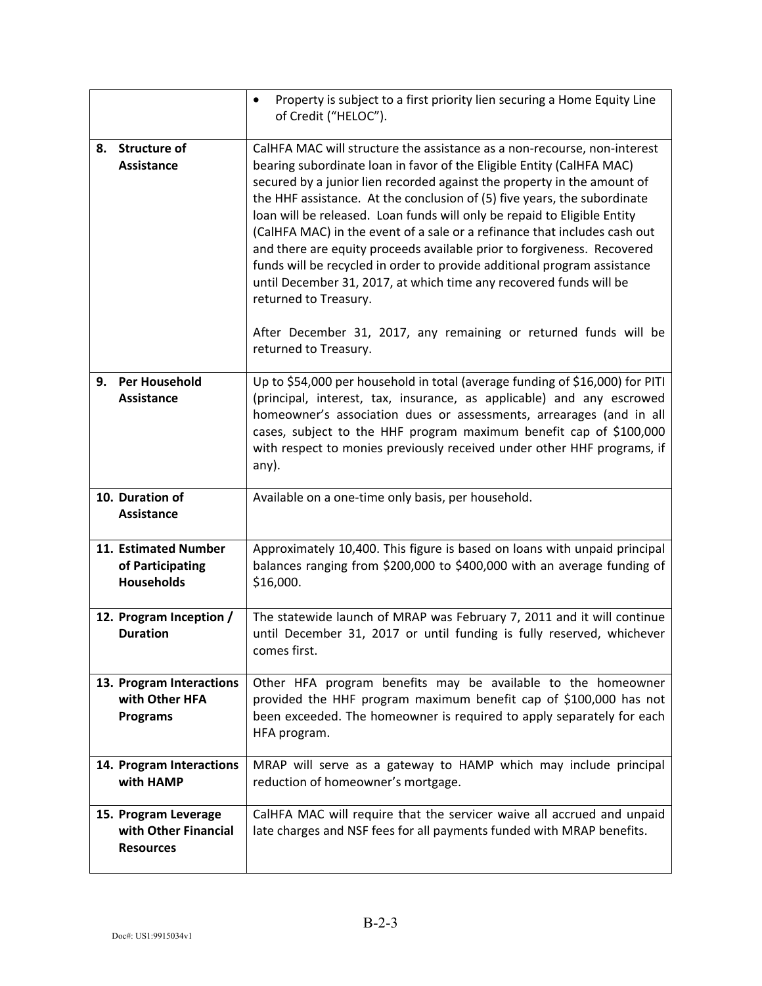|                                                                  | Property is subject to a first priority lien securing a Home Equity Line<br>$\bullet$<br>of Credit ("HELOC").                                                                                                                                                                                                                                                                                                                                                                                                                                                                                                                                                                                                                                                                                                        |
|------------------------------------------------------------------|----------------------------------------------------------------------------------------------------------------------------------------------------------------------------------------------------------------------------------------------------------------------------------------------------------------------------------------------------------------------------------------------------------------------------------------------------------------------------------------------------------------------------------------------------------------------------------------------------------------------------------------------------------------------------------------------------------------------------------------------------------------------------------------------------------------------|
| <b>Structure of</b><br>8.<br><b>Assistance</b>                   | CalHFA MAC will structure the assistance as a non-recourse, non-interest<br>bearing subordinate loan in favor of the Eligible Entity (CalHFA MAC)<br>secured by a junior lien recorded against the property in the amount of<br>the HHF assistance. At the conclusion of (5) five years, the subordinate<br>loan will be released. Loan funds will only be repaid to Eligible Entity<br>(CalHFA MAC) in the event of a sale or a refinance that includes cash out<br>and there are equity proceeds available prior to forgiveness. Recovered<br>funds will be recycled in order to provide additional program assistance<br>until December 31, 2017, at which time any recovered funds will be<br>returned to Treasury.<br>After December 31, 2017, any remaining or returned funds will be<br>returned to Treasury. |
| <b>Per Household</b><br>9.<br><b>Assistance</b>                  | Up to \$54,000 per household in total (average funding of \$16,000) for PITI<br>(principal, interest, tax, insurance, as applicable) and any escrowed<br>homeowner's association dues or assessments, arrearages (and in all<br>cases, subject to the HHF program maximum benefit cap of \$100,000<br>with respect to monies previously received under other HHF programs, if<br>any).                                                                                                                                                                                                                                                                                                                                                                                                                               |
| 10. Duration of<br><b>Assistance</b>                             | Available on a one-time only basis, per household.                                                                                                                                                                                                                                                                                                                                                                                                                                                                                                                                                                                                                                                                                                                                                                   |
| 11. Estimated Number<br>of Participating<br><b>Households</b>    | Approximately 10,400. This figure is based on loans with unpaid principal<br>balances ranging from \$200,000 to \$400,000 with an average funding of<br>\$16,000.                                                                                                                                                                                                                                                                                                                                                                                                                                                                                                                                                                                                                                                    |
| 12. Program Inception /<br><b>Duration</b>                       | The statewide launch of MRAP was February 7, 2011 and it will continue<br>until December 31, 2017 or until funding is fully reserved, whichever<br>comes first.                                                                                                                                                                                                                                                                                                                                                                                                                                                                                                                                                                                                                                                      |
| 13. Program Interactions<br>with Other HFA<br><b>Programs</b>    | Other HFA program benefits may be available to the homeowner<br>provided the HHF program maximum benefit cap of \$100,000 has not<br>been exceeded. The homeowner is required to apply separately for each<br>HFA program.                                                                                                                                                                                                                                                                                                                                                                                                                                                                                                                                                                                           |
| 14. Program Interactions<br>with HAMP                            | MRAP will serve as a gateway to HAMP which may include principal<br>reduction of homeowner's mortgage.                                                                                                                                                                                                                                                                                                                                                                                                                                                                                                                                                                                                                                                                                                               |
| 15. Program Leverage<br>with Other Financial<br><b>Resources</b> | CalHFA MAC will require that the servicer waive all accrued and unpaid<br>late charges and NSF fees for all payments funded with MRAP benefits.                                                                                                                                                                                                                                                                                                                                                                                                                                                                                                                                                                                                                                                                      |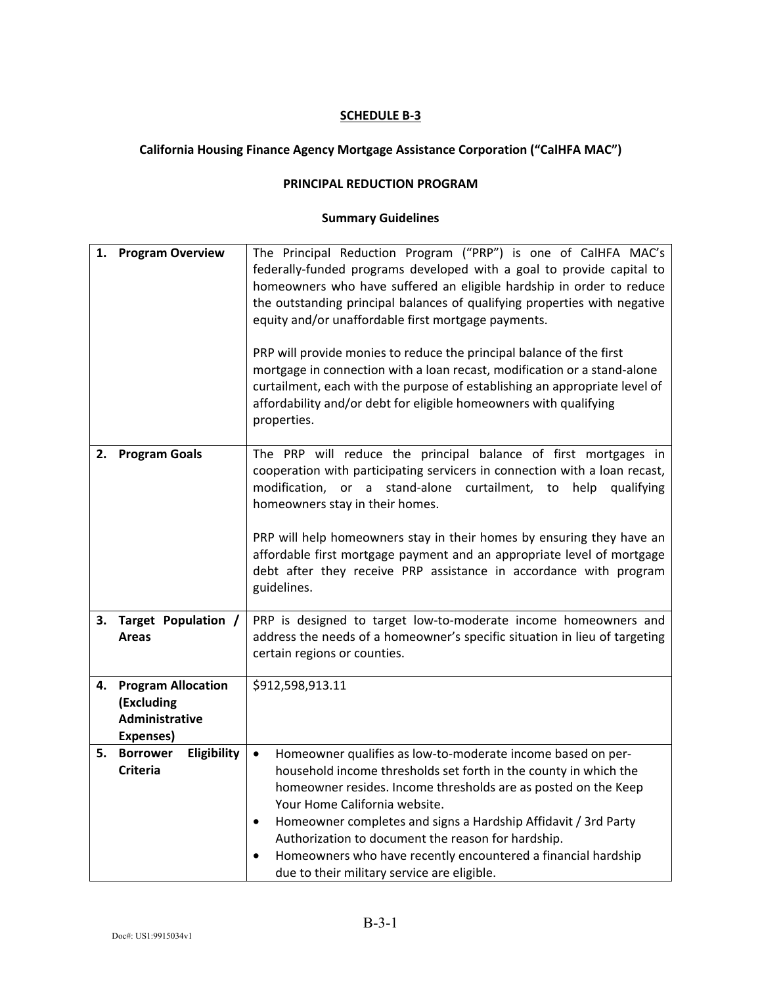# **California Housing Finance Agency Mortgage Assistance Corporation ("CalHFA MAC")**

### **PRINCIPAL REDUCTION PROGRAM**

| 1. | <b>Program Overview</b>                                                | The Principal Reduction Program ("PRP") is one of CalHFA MAC's<br>federally-funded programs developed with a goal to provide capital to<br>homeowners who have suffered an eligible hardship in order to reduce<br>the outstanding principal balances of qualifying properties with negative<br>equity and/or unaffordable first mortgage payments.<br>PRP will provide monies to reduce the principal balance of the first<br>mortgage in connection with a loan recast, modification or a stand-alone<br>curtailment, each with the purpose of establishing an appropriate level of<br>affordability and/or debt for eligible homeowners with qualifying<br>properties. |
|----|------------------------------------------------------------------------|---------------------------------------------------------------------------------------------------------------------------------------------------------------------------------------------------------------------------------------------------------------------------------------------------------------------------------------------------------------------------------------------------------------------------------------------------------------------------------------------------------------------------------------------------------------------------------------------------------------------------------------------------------------------------|
| 2. | <b>Program Goals</b>                                                   | The PRP will reduce the principal balance of first mortgages in<br>cooperation with participating servicers in connection with a loan recast,<br>modification, or a stand-alone curtailment, to help qualifying<br>homeowners stay in their homes.<br>PRP will help homeowners stay in their homes by ensuring they have an<br>affordable first mortgage payment and an appropriate level of mortgage<br>debt after they receive PRP assistance in accordance with program<br>guidelines.                                                                                                                                                                                 |
| 3. | Target Population /<br><b>Areas</b>                                    | PRP is designed to target low-to-moderate income homeowners and<br>address the needs of a homeowner's specific situation in lieu of targeting<br>certain regions or counties.                                                                                                                                                                                                                                                                                                                                                                                                                                                                                             |
| 4. | <b>Program Allocation</b><br>(Excluding<br>Administrative<br>Expenses) | \$912,598,913.11                                                                                                                                                                                                                                                                                                                                                                                                                                                                                                                                                                                                                                                          |
| 5. | Eligibility<br><b>Borrower</b><br><b>Criteria</b>                      | Homeowner qualifies as low-to-moderate income based on per-<br>$\bullet$<br>household income thresholds set forth in the county in which the<br>homeowner resides. Income thresholds are as posted on the Keep<br>Your Home California website.<br>Homeowner completes and signs a Hardship Affidavit / 3rd Party<br>$\bullet$<br>Authorization to document the reason for hardship.<br>Homeowners who have recently encountered a financial hardship<br>due to their military service are eligible.                                                                                                                                                                      |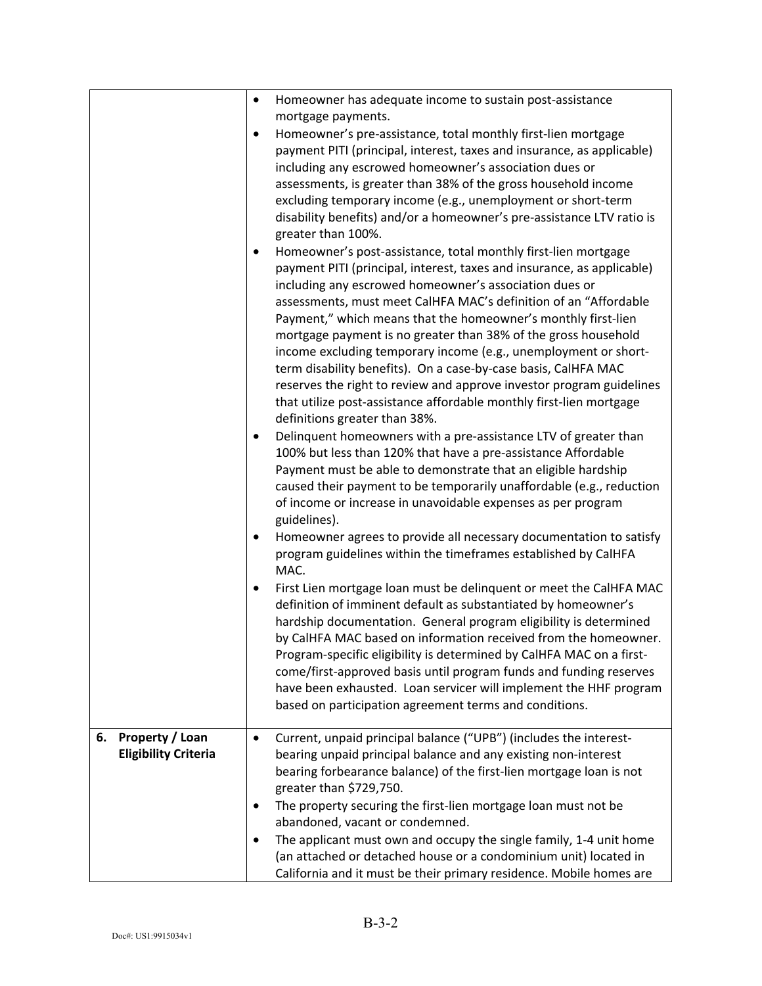|                                                      | Homeowner has adequate income to sustain post-assistance<br>$\bullet$<br>mortgage payments.                                                                                                                                                                                                                                                                                                                                                                                                                                                                                                                                                                                                                                                 |
|------------------------------------------------------|---------------------------------------------------------------------------------------------------------------------------------------------------------------------------------------------------------------------------------------------------------------------------------------------------------------------------------------------------------------------------------------------------------------------------------------------------------------------------------------------------------------------------------------------------------------------------------------------------------------------------------------------------------------------------------------------------------------------------------------------|
|                                                      | Homeowner's pre-assistance, total monthly first-lien mortgage<br>$\bullet$<br>payment PITI (principal, interest, taxes and insurance, as applicable)<br>including any escrowed homeowner's association dues or<br>assessments, is greater than 38% of the gross household income<br>excluding temporary income (e.g., unemployment or short-term<br>disability benefits) and/or a homeowner's pre-assistance LTV ratio is<br>greater than 100%.                                                                                                                                                                                                                                                                                             |
|                                                      | Homeowner's post-assistance, total monthly first-lien mortgage<br>$\bullet$<br>payment PITI (principal, interest, taxes and insurance, as applicable)<br>including any escrowed homeowner's association dues or<br>assessments, must meet CalHFA MAC's definition of an "Affordable<br>Payment," which means that the homeowner's monthly first-lien<br>mortgage payment is no greater than 38% of the gross household<br>income excluding temporary income (e.g., unemployment or short-<br>term disability benefits). On a case-by-case basis, CalHFA MAC<br>reserves the right to review and approve investor program guidelines<br>that utilize post-assistance affordable monthly first-lien mortgage<br>definitions greater than 38%. |
|                                                      | Delinquent homeowners with a pre-assistance LTV of greater than<br>٠<br>100% but less than 120% that have a pre-assistance Affordable<br>Payment must be able to demonstrate that an eligible hardship<br>caused their payment to be temporarily unaffordable (e.g., reduction<br>of income or increase in unavoidable expenses as per program<br>guidelines).                                                                                                                                                                                                                                                                                                                                                                              |
|                                                      | Homeowner agrees to provide all necessary documentation to satisfy<br>$\bullet$<br>program guidelines within the timeframes established by CalHFA<br>MAC.                                                                                                                                                                                                                                                                                                                                                                                                                                                                                                                                                                                   |
|                                                      | First Lien mortgage loan must be delinquent or meet the CalHFA MAC<br>$\bullet$<br>definition of imminent default as substantiated by homeowner's<br>hardship documentation. General program eligibility is determined<br>by CalHFA MAC based on information received from the homeowner.<br>Program-specific eligibility is determined by CalHFA MAC on a first-<br>come/first-approved basis until program funds and funding reserves<br>have been exhausted. Loan servicer will implement the HHF program<br>based on participation agreement terms and conditions.                                                                                                                                                                      |
| Property / Loan<br>6.<br><b>Eligibility Criteria</b> | Current, unpaid principal balance ("UPB") (includes the interest-<br>$\bullet$<br>bearing unpaid principal balance and any existing non-interest<br>bearing forbearance balance) of the first-lien mortgage loan is not<br>greater than \$729,750.                                                                                                                                                                                                                                                                                                                                                                                                                                                                                          |
|                                                      | The property securing the first-lien mortgage loan must not be<br>٠<br>abandoned, vacant or condemned.                                                                                                                                                                                                                                                                                                                                                                                                                                                                                                                                                                                                                                      |
|                                                      | The applicant must own and occupy the single family, 1-4 unit home<br>$\bullet$<br>(an attached or detached house or a condominium unit) located in<br>California and it must be their primary residence. Mobile homes are                                                                                                                                                                                                                                                                                                                                                                                                                                                                                                                  |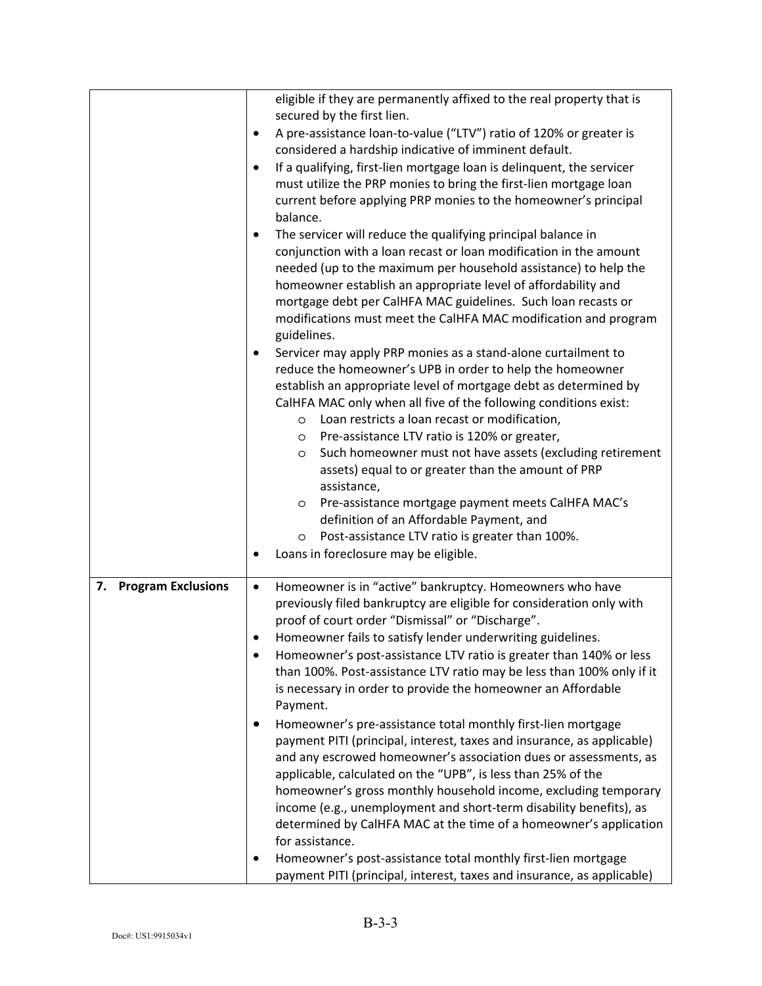|                                 | eligible if they are permanently affixed to the real property that is<br>secured by the first lien.<br>A pre-assistance loan-to-value ("LTV") ratio of 120% or greater is<br>٠<br>considered a hardship indicative of imminent default.<br>If a qualifying, first-lien mortgage loan is delinquent, the servicer<br>$\bullet$<br>must utilize the PRP monies to bring the first-lien mortgage loan<br>current before applying PRP monies to the homeowner's principal<br>balance.<br>The servicer will reduce the qualifying principal balance in<br>$\bullet$<br>conjunction with a loan recast or loan modification in the amount<br>needed (up to the maximum per household assistance) to help the<br>homeowner establish an appropriate level of affordability and<br>mortgage debt per CalHFA MAC guidelines. Such loan recasts or<br>modifications must meet the CalHFA MAC modification and program                                                                                                                                                                                                                                                       |
|---------------------------------|-------------------------------------------------------------------------------------------------------------------------------------------------------------------------------------------------------------------------------------------------------------------------------------------------------------------------------------------------------------------------------------------------------------------------------------------------------------------------------------------------------------------------------------------------------------------------------------------------------------------------------------------------------------------------------------------------------------------------------------------------------------------------------------------------------------------------------------------------------------------------------------------------------------------------------------------------------------------------------------------------------------------------------------------------------------------------------------------------------------------------------------------------------------------|
|                                 | guidelines.<br>Servicer may apply PRP monies as a stand-alone curtailment to<br>٠<br>reduce the homeowner's UPB in order to help the homeowner<br>establish an appropriate level of mortgage debt as determined by<br>CalHFA MAC only when all five of the following conditions exist:<br>Loan restricts a loan recast or modification,<br>O<br>Pre-assistance LTV ratio is 120% or greater,<br>$\circ$<br>Such homeowner must not have assets (excluding retirement<br>O<br>assets) equal to or greater than the amount of PRP<br>assistance,<br>Pre-assistance mortgage payment meets CalHFA MAC's<br>O<br>definition of an Affordable Payment, and<br>Post-assistance LTV ratio is greater than 100%.<br>O<br>Loans in foreclosure may be eligible.                                                                                                                                                                                                                                                                                                                                                                                                            |
| <b>Program Exclusions</b><br>7. | Homeowner is in "active" bankruptcy. Homeowners who have<br>$\bullet$<br>previously filed bankruptcy are eligible for consideration only with<br>proof of court order "Dismissal" or "Discharge".<br>Homeowner fails to satisfy lender underwriting guidelines.<br>$\bullet$<br>Homeowner's post-assistance LTV ratio is greater than 140% or less<br>than 100%. Post-assistance LTV ratio may be less than 100% only if it<br>is necessary in order to provide the homeowner an Affordable<br>Payment.<br>Homeowner's pre-assistance total monthly first-lien mortgage<br>payment PITI (principal, interest, taxes and insurance, as applicable)<br>and any escrowed homeowner's association dues or assessments, as<br>applicable, calculated on the "UPB", is less than 25% of the<br>homeowner's gross monthly household income, excluding temporary<br>income (e.g., unemployment and short-term disability benefits), as<br>determined by CalHFA MAC at the time of a homeowner's application<br>for assistance.<br>Homeowner's post-assistance total monthly first-lien mortgage<br>payment PITI (principal, interest, taxes and insurance, as applicable) |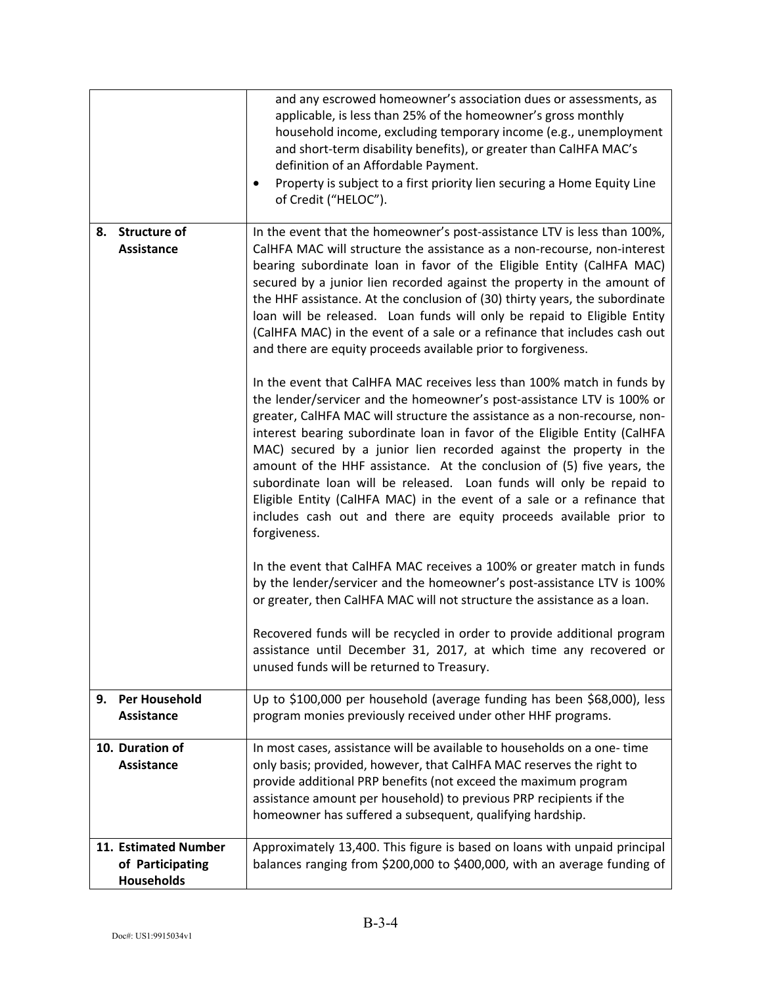|                                                               | and any escrowed homeowner's association dues or assessments, as<br>applicable, is less than 25% of the homeowner's gross monthly<br>household income, excluding temporary income (e.g., unemployment<br>and short-term disability benefits), or greater than CalHFA MAC's<br>definition of an Affordable Payment.<br>Property is subject to a first priority lien securing a Home Equity Line<br>$\bullet$<br>of Credit ("HELOC").                                                                                                                                                                                                                                                                 |
|---------------------------------------------------------------|-----------------------------------------------------------------------------------------------------------------------------------------------------------------------------------------------------------------------------------------------------------------------------------------------------------------------------------------------------------------------------------------------------------------------------------------------------------------------------------------------------------------------------------------------------------------------------------------------------------------------------------------------------------------------------------------------------|
| <b>Structure of</b><br>8.<br>Assistance                       | In the event that the homeowner's post-assistance LTV is less than 100%,<br>CalHFA MAC will structure the assistance as a non-recourse, non-interest<br>bearing subordinate loan in favor of the Eligible Entity (CalHFA MAC)<br>secured by a junior lien recorded against the property in the amount of<br>the HHF assistance. At the conclusion of (30) thirty years, the subordinate<br>loan will be released. Loan funds will only be repaid to Eligible Entity<br>(CalHFA MAC) in the event of a sale or a refinance that includes cash out<br>and there are equity proceeds available prior to forgiveness.                                                                                   |
|                                                               | In the event that CalHFA MAC receives less than 100% match in funds by<br>the lender/servicer and the homeowner's post-assistance LTV is 100% or<br>greater, CalHFA MAC will structure the assistance as a non-recourse, non-<br>interest bearing subordinate loan in favor of the Eligible Entity (CalHFA<br>MAC) secured by a junior lien recorded against the property in the<br>amount of the HHF assistance. At the conclusion of (5) five years, the<br>subordinate loan will be released. Loan funds will only be repaid to<br>Eligible Entity (CalHFA MAC) in the event of a sale or a refinance that<br>includes cash out and there are equity proceeds available prior to<br>forgiveness. |
|                                                               | In the event that CalHFA MAC receives a 100% or greater match in funds<br>by the lender/servicer and the homeowner's post-assistance LTV is 100%<br>or greater, then CalHFA MAC will not structure the assistance as a loan.                                                                                                                                                                                                                                                                                                                                                                                                                                                                        |
|                                                               | Recovered funds will be recycled in order to provide additional program<br>assistance until December 31, 2017, at which time any recovered or<br>unused funds will be returned to Treasury.                                                                                                                                                                                                                                                                                                                                                                                                                                                                                                         |
| <b>Per Household</b><br>9.<br>Assistance                      | Up to \$100,000 per household (average funding has been \$68,000), less<br>program monies previously received under other HHF programs.                                                                                                                                                                                                                                                                                                                                                                                                                                                                                                                                                             |
| 10. Duration of<br>Assistance                                 | In most cases, assistance will be available to households on a one-time<br>only basis; provided, however, that CalHFA MAC reserves the right to<br>provide additional PRP benefits (not exceed the maximum program<br>assistance amount per household) to previous PRP recipients if the<br>homeowner has suffered a subsequent, qualifying hardship.                                                                                                                                                                                                                                                                                                                                               |
| 11. Estimated Number<br>of Participating<br><b>Households</b> | Approximately 13,400. This figure is based on loans with unpaid principal<br>balances ranging from \$200,000 to \$400,000, with an average funding of                                                                                                                                                                                                                                                                                                                                                                                                                                                                                                                                               |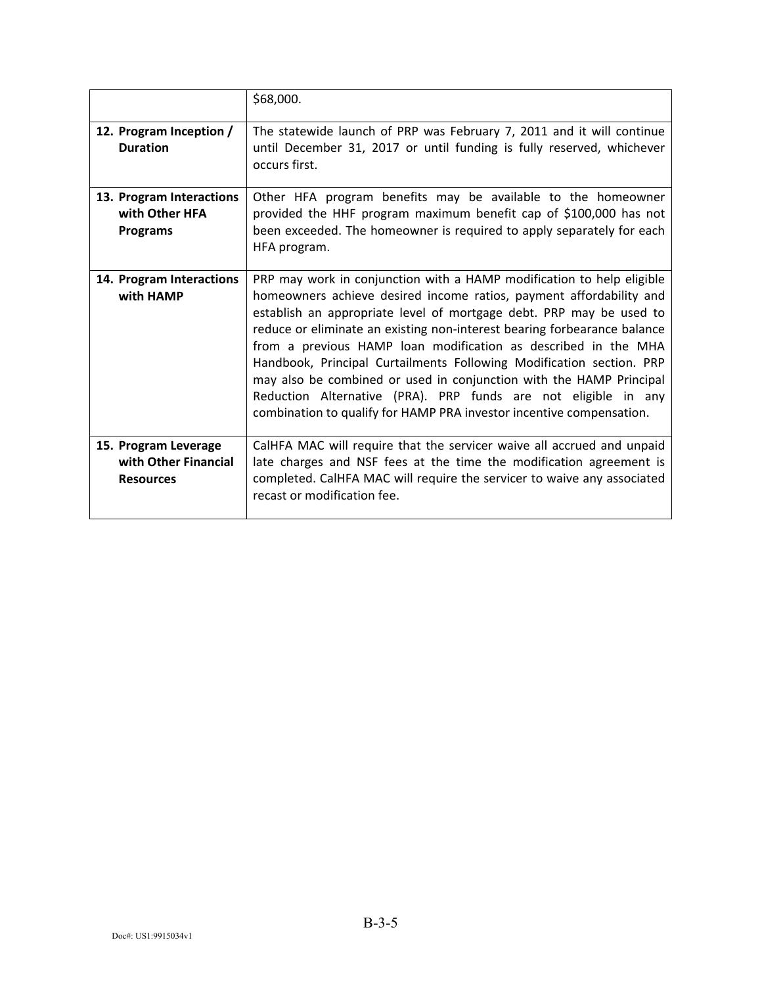|                                                                  | \$68,000.                                                                                                                                                                                                                                                                                                                                                                                                                                                                                                                                                                                                                                                  |
|------------------------------------------------------------------|------------------------------------------------------------------------------------------------------------------------------------------------------------------------------------------------------------------------------------------------------------------------------------------------------------------------------------------------------------------------------------------------------------------------------------------------------------------------------------------------------------------------------------------------------------------------------------------------------------------------------------------------------------|
| 12. Program Inception /<br><b>Duration</b>                       | The statewide launch of PRP was February 7, 2011 and it will continue<br>until December 31, 2017 or until funding is fully reserved, whichever<br>occurs first.                                                                                                                                                                                                                                                                                                                                                                                                                                                                                            |
| 13. Program Interactions<br>with Other HFA<br><b>Programs</b>    | Other HFA program benefits may be available to the homeowner<br>provided the HHF program maximum benefit cap of \$100,000 has not<br>been exceeded. The homeowner is required to apply separately for each<br>HFA program.                                                                                                                                                                                                                                                                                                                                                                                                                                 |
| 14. Program Interactions<br>with HAMP                            | PRP may work in conjunction with a HAMP modification to help eligible<br>homeowners achieve desired income ratios, payment affordability and<br>establish an appropriate level of mortgage debt. PRP may be used to<br>reduce or eliminate an existing non-interest bearing forbearance balance<br>from a previous HAMP loan modification as described in the MHA<br>Handbook, Principal Curtailments Following Modification section. PRP<br>may also be combined or used in conjunction with the HAMP Principal<br>Reduction Alternative (PRA). PRP funds are not eligible in any<br>combination to qualify for HAMP PRA investor incentive compensation. |
| 15. Program Leverage<br>with Other Financial<br><b>Resources</b> | CalHFA MAC will require that the servicer waive all accrued and unpaid<br>late charges and NSF fees at the time the modification agreement is<br>completed. CalHFA MAC will require the servicer to waive any associated<br>recast or modification fee.                                                                                                                                                                                                                                                                                                                                                                                                    |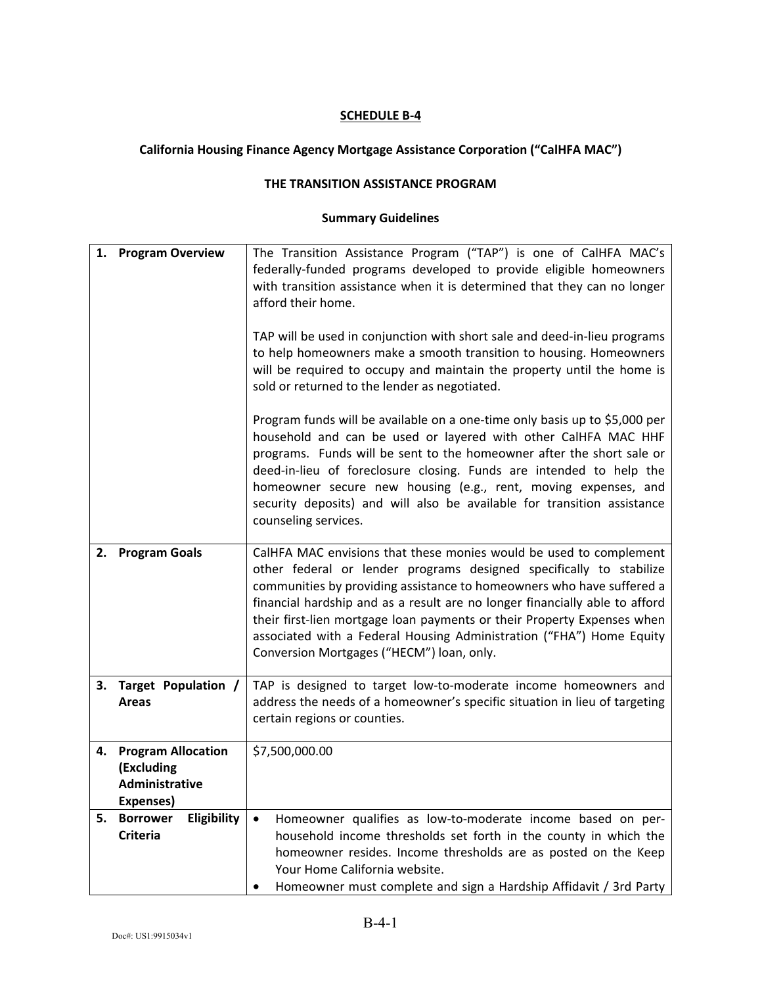# **California Housing Finance Agency Mortgage Assistance Corporation ("CalHFA MAC")**

### **THE TRANSITION ASSISTANCE PROGRAM**

| 1. | <b>Program Overview</b>                                                | The Transition Assistance Program ("TAP") is one of CalHFA MAC's<br>federally-funded programs developed to provide eligible homeowners<br>with transition assistance when it is determined that they can no longer<br>afford their home.<br>TAP will be used in conjunction with short sale and deed-in-lieu programs<br>to help homeowners make a smooth transition to housing. Homeowners<br>will be required to occupy and maintain the property until the home is<br>sold or returned to the lender as negotiated. |
|----|------------------------------------------------------------------------|------------------------------------------------------------------------------------------------------------------------------------------------------------------------------------------------------------------------------------------------------------------------------------------------------------------------------------------------------------------------------------------------------------------------------------------------------------------------------------------------------------------------|
|    |                                                                        | Program funds will be available on a one-time only basis up to \$5,000 per<br>household and can be used or layered with other CalHFA MAC HHF<br>programs. Funds will be sent to the homeowner after the short sale or<br>deed-in-lieu of foreclosure closing. Funds are intended to help the<br>homeowner secure new housing (e.g., rent, moving expenses, and<br>security deposits) and will also be available for transition assistance<br>counseling services.                                                      |
| 2. | <b>Program Goals</b>                                                   | CalHFA MAC envisions that these monies would be used to complement<br>other federal or lender programs designed specifically to stabilize<br>communities by providing assistance to homeowners who have suffered a<br>financial hardship and as a result are no longer financially able to afford<br>their first-lien mortgage loan payments or their Property Expenses when<br>associated with a Federal Housing Administration ("FHA") Home Equity<br>Conversion Mortgages ("HECM") loan, only.                      |
| 3. | Target Population /<br><b>Areas</b>                                    | TAP is designed to target low-to-moderate income homeowners and<br>address the needs of a homeowner's specific situation in lieu of targeting<br>certain regions or counties.                                                                                                                                                                                                                                                                                                                                          |
| 4. | <b>Program Allocation</b><br>(Excluding<br>Administrative<br>Expenses) | \$7,500,000.00                                                                                                                                                                                                                                                                                                                                                                                                                                                                                                         |
| 5. | Eligibility<br><b>Borrower</b><br><b>Criteria</b>                      | Homeowner qualifies as low-to-moderate income based on per-<br>$\bullet$<br>household income thresholds set forth in the county in which the<br>homeowner resides. Income thresholds are as posted on the Keep<br>Your Home California website.<br>Homeowner must complete and sign a Hardship Affidavit / 3rd Party                                                                                                                                                                                                   |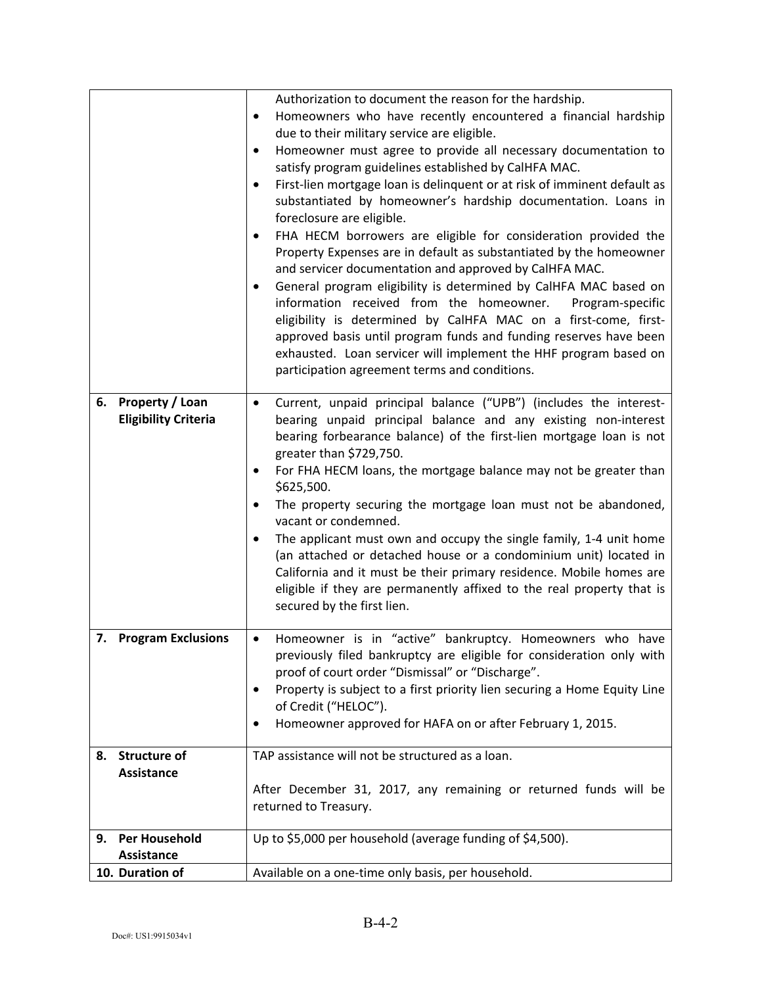|    |                                                       | Authorization to document the reason for the hardship.<br>Homeowners who have recently encountered a financial hardship<br>$\bullet$<br>due to their military service are eligible.<br>Homeowner must agree to provide all necessary documentation to<br>٠<br>satisfy program guidelines established by CalHFA MAC.<br>First-lien mortgage loan is delinquent or at risk of imminent default as<br>$\bullet$<br>substantiated by homeowner's hardship documentation. Loans in<br>foreclosure are eligible.<br>FHA HECM borrowers are eligible for consideration provided the<br>$\bullet$<br>Property Expenses are in default as substantiated by the homeowner<br>and servicer documentation and approved by CalHFA MAC.<br>General program eligibility is determined by CalHFA MAC based on<br>$\bullet$<br>information received from the homeowner.<br>Program-specific |
|----|-------------------------------------------------------|----------------------------------------------------------------------------------------------------------------------------------------------------------------------------------------------------------------------------------------------------------------------------------------------------------------------------------------------------------------------------------------------------------------------------------------------------------------------------------------------------------------------------------------------------------------------------------------------------------------------------------------------------------------------------------------------------------------------------------------------------------------------------------------------------------------------------------------------------------------------------|
|    |                                                       | eligibility is determined by CalHFA MAC on a first-come, first-<br>approved basis until program funds and funding reserves have been<br>exhausted. Loan servicer will implement the HHF program based on<br>participation agreement terms and conditions.                                                                                                                                                                                                                                                                                                                                                                                                                                                                                                                                                                                                                  |
| 6. | <b>Property / Loan</b><br><b>Eligibility Criteria</b> | Current, unpaid principal balance ("UPB") (includes the interest-<br>٠<br>bearing unpaid principal balance and any existing non-interest<br>bearing forbearance balance) of the first-lien mortgage loan is not<br>greater than \$729,750.<br>For FHA HECM loans, the mortgage balance may not be greater than<br>\$625,500.<br>The property securing the mortgage loan must not be abandoned,<br>$\bullet$<br>vacant or condemned.<br>The applicant must own and occupy the single family, 1-4 unit home<br>٠<br>(an attached or detached house or a condominium unit) located in<br>California and it must be their primary residence. Mobile homes are<br>eligible if they are permanently affixed to the real property that is<br>secured by the first lien.                                                                                                           |
|    | 7. Program Exclusions                                 | Homeowner is in "active" bankruptcy. Homeowners who have<br>$\bullet$<br>previously filed bankruptcy are eligible for consideration only with<br>proof of court order "Dismissal" or "Discharge".<br>Property is subject to a first priority lien securing a Home Equity Line<br>٠<br>of Credit ("HELOC").<br>Homeowner approved for HAFA on or after February 1, 2015.                                                                                                                                                                                                                                                                                                                                                                                                                                                                                                    |
| 8. | <b>Structure of</b><br>Assistance                     | TAP assistance will not be structured as a loan.<br>After December 31, 2017, any remaining or returned funds will be<br>returned to Treasury.                                                                                                                                                                                                                                                                                                                                                                                                                                                                                                                                                                                                                                                                                                                              |
| 9. | Per Household<br>Assistance                           | Up to \$5,000 per household (average funding of \$4,500).                                                                                                                                                                                                                                                                                                                                                                                                                                                                                                                                                                                                                                                                                                                                                                                                                  |
|    | 10. Duration of                                       | Available on a one-time only basis, per household.                                                                                                                                                                                                                                                                                                                                                                                                                                                                                                                                                                                                                                                                                                                                                                                                                         |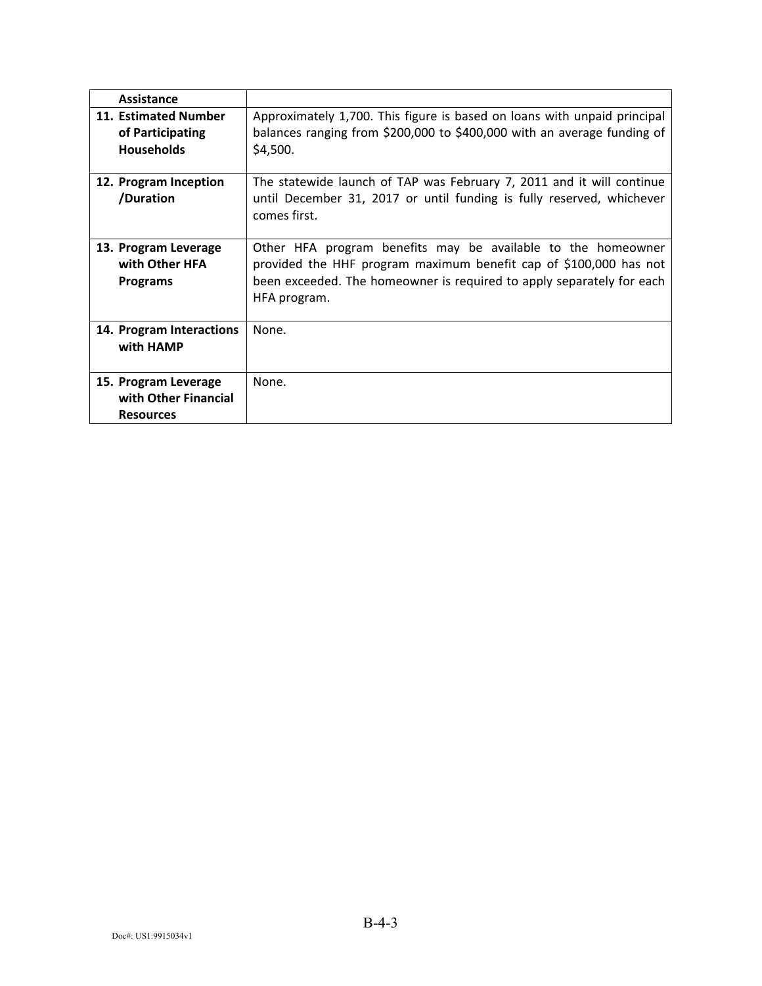| Assistance                                                       |                                                                                                                                                                                                                            |
|------------------------------------------------------------------|----------------------------------------------------------------------------------------------------------------------------------------------------------------------------------------------------------------------------|
| 11. Estimated Number<br>of Participating<br><b>Households</b>    | Approximately 1,700. This figure is based on loans with unpaid principal<br>balances ranging from \$200,000 to \$400,000 with an average funding of<br>\$4,500.                                                            |
| 12. Program Inception<br>/Duration                               | The statewide launch of TAP was February 7, 2011 and it will continue<br>until December 31, 2017 or until funding is fully reserved, whichever<br>comes first.                                                             |
| 13. Program Leverage<br>with Other HFA<br><b>Programs</b>        | Other HFA program benefits may be available to the homeowner<br>provided the HHF program maximum benefit cap of \$100,000 has not<br>been exceeded. The homeowner is required to apply separately for each<br>HFA program. |
| 14. Program Interactions<br>with HAMP                            | None.                                                                                                                                                                                                                      |
| 15. Program Leverage<br>with Other Financial<br><b>Resources</b> | None.                                                                                                                                                                                                                      |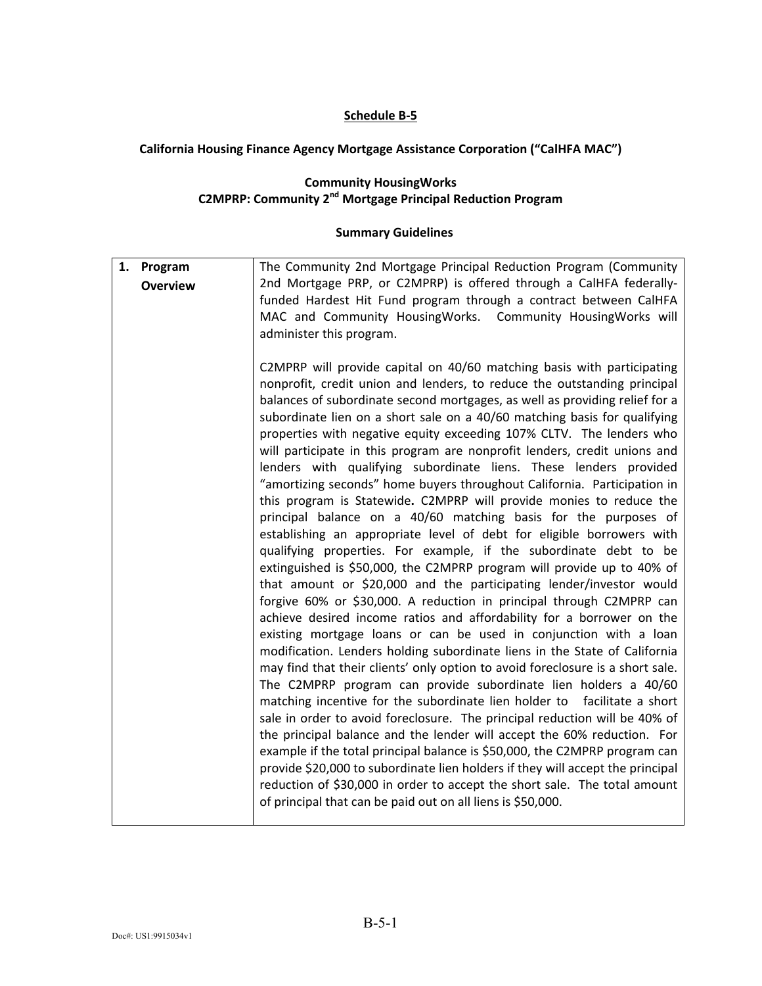### **Schedule B-5**

# **California Housing Finance Agency Mortgage Assistance Corporation ("CalHFA MAC")**

### **Community HousingWorks C2MPRP: Community 2nd Mortgage Principal Reduction Program**

| 1. Program<br><b>Overview</b> | The Community 2nd Mortgage Principal Reduction Program (Community<br>2nd Mortgage PRP, or C2MPRP) is offered through a CalHFA federally-<br>funded Hardest Hit Fund program through a contract between CalHFA<br>MAC and Community HousingWorks. Community HousingWorks will<br>administer this program.                                                                                                                                                                                                                                                                                                                                                                                                                                                                                                                                                                                                                                                                                                                                                                                                                                                                                                                                                                                                                                                                                                                                                                                                                                                                                                                                                                                                                                                                                                                                                                                                                                                                                                                                                                |
|-------------------------------|-------------------------------------------------------------------------------------------------------------------------------------------------------------------------------------------------------------------------------------------------------------------------------------------------------------------------------------------------------------------------------------------------------------------------------------------------------------------------------------------------------------------------------------------------------------------------------------------------------------------------------------------------------------------------------------------------------------------------------------------------------------------------------------------------------------------------------------------------------------------------------------------------------------------------------------------------------------------------------------------------------------------------------------------------------------------------------------------------------------------------------------------------------------------------------------------------------------------------------------------------------------------------------------------------------------------------------------------------------------------------------------------------------------------------------------------------------------------------------------------------------------------------------------------------------------------------------------------------------------------------------------------------------------------------------------------------------------------------------------------------------------------------------------------------------------------------------------------------------------------------------------------------------------------------------------------------------------------------------------------------------------------------------------------------------------------------|
|                               | C2MPRP will provide capital on 40/60 matching basis with participating<br>nonprofit, credit union and lenders, to reduce the outstanding principal<br>balances of subordinate second mortgages, as well as providing relief for a<br>subordinate lien on a short sale on a 40/60 matching basis for qualifying<br>properties with negative equity exceeding 107% CLTV. The lenders who<br>will participate in this program are nonprofit lenders, credit unions and<br>lenders with qualifying subordinate liens. These lenders provided<br>"amortizing seconds" home buyers throughout California. Participation in<br>this program is Statewide. C2MPRP will provide monies to reduce the<br>principal balance on a 40/60 matching basis for the purposes of<br>establishing an appropriate level of debt for eligible borrowers with<br>qualifying properties. For example, if the subordinate debt to be<br>extinguished is \$50,000, the C2MPRP program will provide up to 40% of<br>that amount or \$20,000 and the participating lender/investor would<br>forgive 60% or \$30,000. A reduction in principal through C2MPRP can<br>achieve desired income ratios and affordability for a borrower on the<br>existing mortgage loans or can be used in conjunction with a loan<br>modification. Lenders holding subordinate liens in the State of California<br>may find that their clients' only option to avoid foreclosure is a short sale.<br>The C2MPRP program can provide subordinate lien holders a 40/60<br>matching incentive for the subordinate lien holder to facilitate a short<br>sale in order to avoid foreclosure. The principal reduction will be 40% of<br>the principal balance and the lender will accept the 60% reduction. For<br>example if the total principal balance is \$50,000, the C2MPRP program can<br>provide \$20,000 to subordinate lien holders if they will accept the principal<br>reduction of \$30,000 in order to accept the short sale. The total amount<br>of principal that can be paid out on all liens is \$50,000. |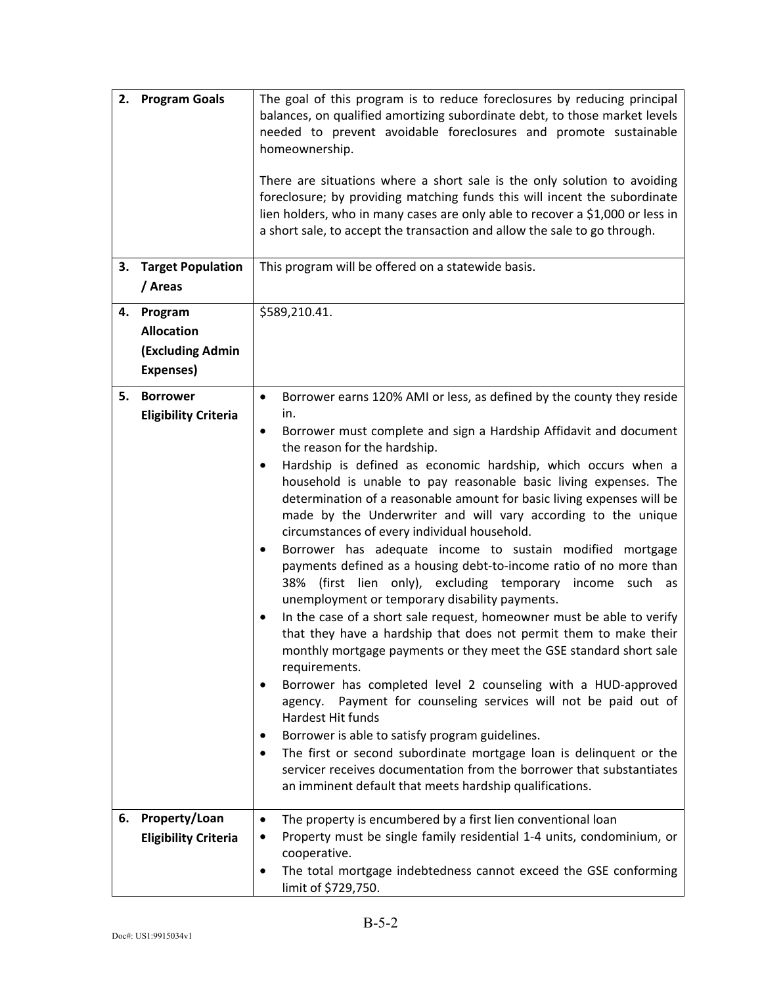| 3. | 2. Program Goals<br><b>Target Population</b>                         | The goal of this program is to reduce foreclosures by reducing principal<br>balances, on qualified amortizing subordinate debt, to those market levels<br>needed to prevent avoidable foreclosures and promote sustainable<br>homeownership.<br>There are situations where a short sale is the only solution to avoiding<br>foreclosure; by providing matching funds this will incent the subordinate<br>lien holders, who in many cases are only able to recover a \$1,000 or less in<br>a short sale, to accept the transaction and allow the sale to go through.<br>This program will be offered on a statewide basis.                                                                                                                                                                                                                                                                                                                                                                                                                                                                                                                                                                                                                                                                                                                                                                                                                                      |
|----|----------------------------------------------------------------------|----------------------------------------------------------------------------------------------------------------------------------------------------------------------------------------------------------------------------------------------------------------------------------------------------------------------------------------------------------------------------------------------------------------------------------------------------------------------------------------------------------------------------------------------------------------------------------------------------------------------------------------------------------------------------------------------------------------------------------------------------------------------------------------------------------------------------------------------------------------------------------------------------------------------------------------------------------------------------------------------------------------------------------------------------------------------------------------------------------------------------------------------------------------------------------------------------------------------------------------------------------------------------------------------------------------------------------------------------------------------------------------------------------------------------------------------------------------|
|    | / Areas                                                              |                                                                                                                                                                                                                                                                                                                                                                                                                                                                                                                                                                                                                                                                                                                                                                                                                                                                                                                                                                                                                                                                                                                                                                                                                                                                                                                                                                                                                                                                |
| 4. | Program<br><b>Allocation</b><br><b>(Excluding Admin</b><br>Expenses) | \$589,210.41.                                                                                                                                                                                                                                                                                                                                                                                                                                                                                                                                                                                                                                                                                                                                                                                                                                                                                                                                                                                                                                                                                                                                                                                                                                                                                                                                                                                                                                                  |
| 5. | <b>Borrower</b><br><b>Eligibility Criteria</b>                       | Borrower earns 120% AMI or less, as defined by the county they reside<br>$\bullet$<br>in.<br>Borrower must complete and sign a Hardship Affidavit and document<br>٠<br>the reason for the hardship.<br>Hardship is defined as economic hardship, which occurs when a<br>٠<br>household is unable to pay reasonable basic living expenses. The<br>determination of a reasonable amount for basic living expenses will be<br>made by the Underwriter and will vary according to the unique<br>circumstances of every individual household.<br>Borrower has adequate income to sustain modified mortgage<br>٠<br>payments defined as a housing debt-to-income ratio of no more than<br>38% (first lien only), excluding temporary income such as<br>unemployment or temporary disability payments.<br>In the case of a short sale request, homeowner must be able to verify<br>that they have a hardship that does not permit them to make their<br>monthly mortgage payments or they meet the GSE standard short sale<br>requirements.<br>Borrower has completed level 2 counseling with a HUD-approved<br>agency. Payment for counseling services will not be paid out of<br>Hardest Hit funds<br>Borrower is able to satisfy program guidelines.<br>٠<br>The first or second subordinate mortgage loan is delinquent or the<br>servicer receives documentation from the borrower that substantiates<br>an imminent default that meets hardship qualifications. |
| 6. | Property/Loan<br><b>Eligibility Criteria</b>                         | The property is encumbered by a first lien conventional loan<br>٠<br>Property must be single family residential 1-4 units, condominium, or<br>cooperative.<br>The total mortgage indebtedness cannot exceed the GSE conforming<br>limit of \$729,750.                                                                                                                                                                                                                                                                                                                                                                                                                                                                                                                                                                                                                                                                                                                                                                                                                                                                                                                                                                                                                                                                                                                                                                                                          |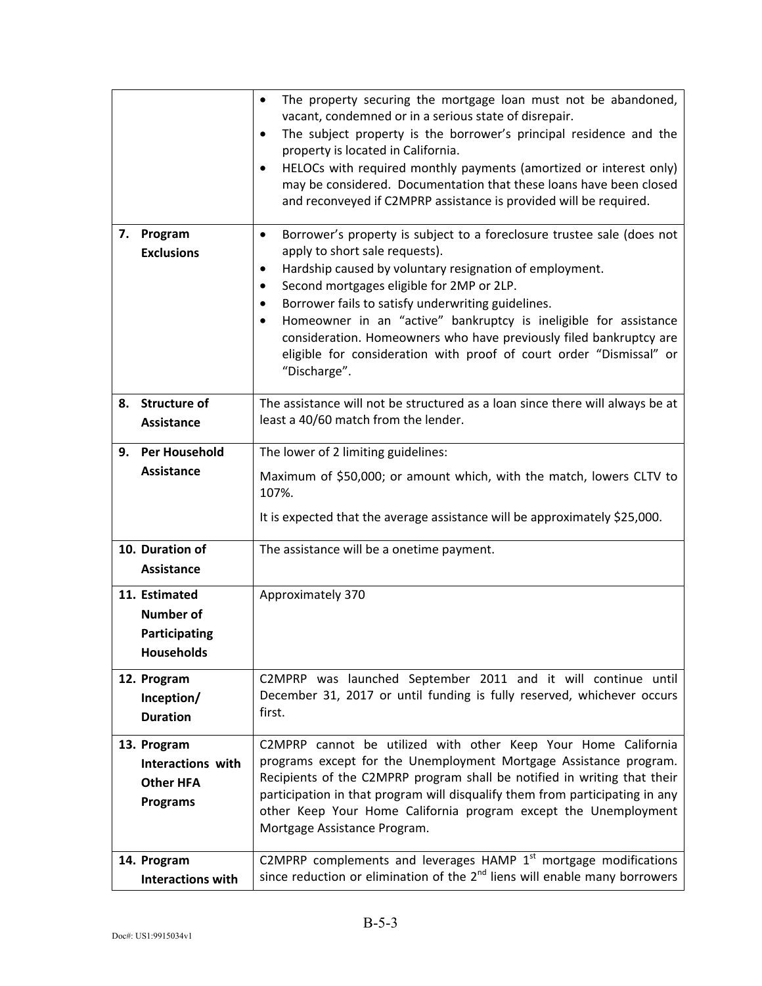|    |                                                                                | The property securing the mortgage loan must not be abandoned,<br>٠<br>vacant, condemned or in a serious state of disrepair.<br>The subject property is the borrower's principal residence and the<br>$\bullet$<br>property is located in California.<br>HELOCs with required monthly payments (amortized or interest only)<br>$\bullet$<br>may be considered. Documentation that these loans have been closed<br>and reconveyed if C2MPRP assistance is provided will be required.                                                 |
|----|--------------------------------------------------------------------------------|-------------------------------------------------------------------------------------------------------------------------------------------------------------------------------------------------------------------------------------------------------------------------------------------------------------------------------------------------------------------------------------------------------------------------------------------------------------------------------------------------------------------------------------|
| 7. | Program<br><b>Exclusions</b>                                                   | Borrower's property is subject to a foreclosure trustee sale (does not<br>$\bullet$<br>apply to short sale requests).<br>Hardship caused by voluntary resignation of employment.<br>٠<br>Second mortgages eligible for 2MP or 2LP.<br>٠<br>Borrower fails to satisfy underwriting guidelines.<br>٠<br>Homeowner in an "active" bankruptcy is ineligible for assistance<br>consideration. Homeowners who have previously filed bankruptcy are<br>eligible for consideration with proof of court order "Dismissal" or<br>"Discharge". |
|    | 8. Structure of<br><b>Assistance</b>                                           | The assistance will not be structured as a loan since there will always be at<br>least a 40/60 match from the lender.                                                                                                                                                                                                                                                                                                                                                                                                               |
| 9. | <b>Per Household</b>                                                           | The lower of 2 limiting guidelines:                                                                                                                                                                                                                                                                                                                                                                                                                                                                                                 |
|    | <b>Assistance</b>                                                              | Maximum of \$50,000; or amount which, with the match, lowers CLTV to<br>107%.<br>It is expected that the average assistance will be approximately \$25,000.                                                                                                                                                                                                                                                                                                                                                                         |
|    | 10. Duration of<br><b>Assistance</b>                                           | The assistance will be a onetime payment.                                                                                                                                                                                                                                                                                                                                                                                                                                                                                           |
|    | 11. Estimated<br><b>Number of</b><br><b>Participating</b><br><b>Households</b> | Approximately 370                                                                                                                                                                                                                                                                                                                                                                                                                                                                                                                   |
|    | 12. Program<br>Inception/<br><b>Duration</b>                                   | C2MPRP was launched September 2011 and it will continue until<br>December 31, 2017 or until funding is fully reserved, whichever occurs<br>first.                                                                                                                                                                                                                                                                                                                                                                                   |
|    | 13. Program<br>Interactions with<br><b>Other HFA</b><br><b>Programs</b>        | C2MPRP cannot be utilized with other Keep Your Home California<br>programs except for the Unemployment Mortgage Assistance program.<br>Recipients of the C2MPRP program shall be notified in writing that their<br>participation in that program will disqualify them from participating in any<br>other Keep Your Home California program except the Unemployment<br>Mortgage Assistance Program.                                                                                                                                  |
|    | 14. Program<br><b>Interactions with</b>                                        | C2MPRP complements and leverages HAMP 1 <sup>st</sup> mortgage modifications<br>since reduction or elimination of the 2 <sup>nd</sup> liens will enable many borrowers                                                                                                                                                                                                                                                                                                                                                              |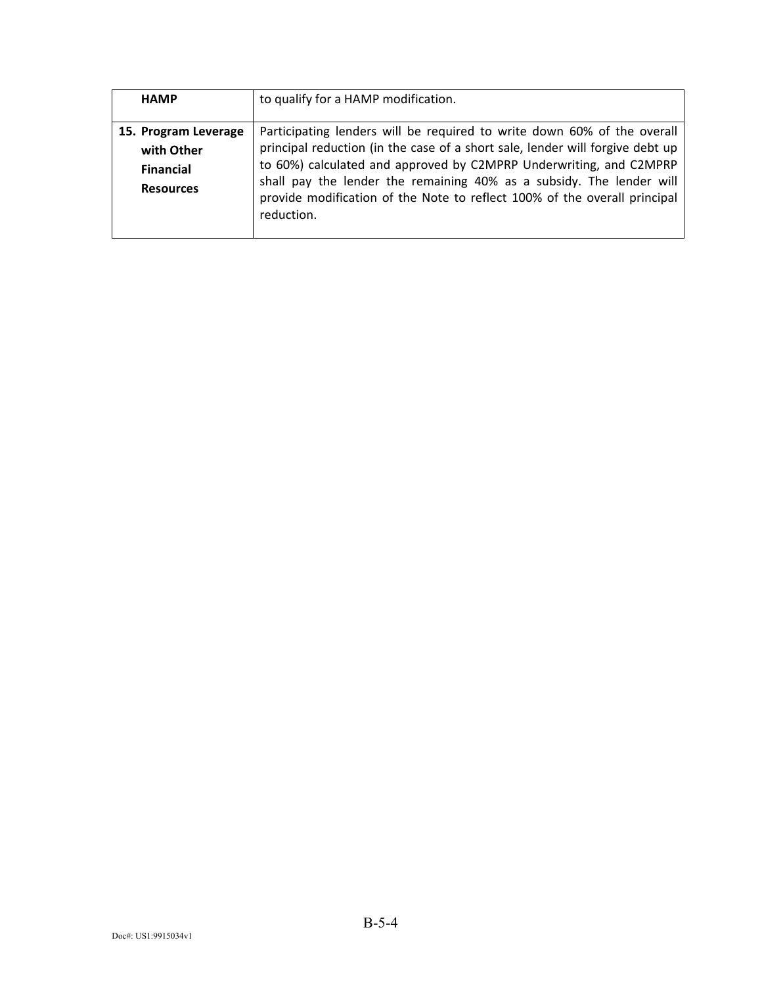| <b>HAMP</b>          | to qualify for a HAMP modification.                                                                                                                             |
|----------------------|-----------------------------------------------------------------------------------------------------------------------------------------------------------------|
| 15. Program Leverage | Participating lenders will be required to write down 60% of the overall                                                                                         |
| with Other           | principal reduction (in the case of a short sale, lender will forgive debt up                                                                                   |
| <b>Financial</b>     | to 60%) calculated and approved by C2MPRP Underwriting, and C2MPRP                                                                                              |
| <b>Resources</b>     | shall pay the lender the remaining 40% as a subsidy. The lender will<br>provide modification of the Note to reflect 100% of the overall principal<br>reduction. |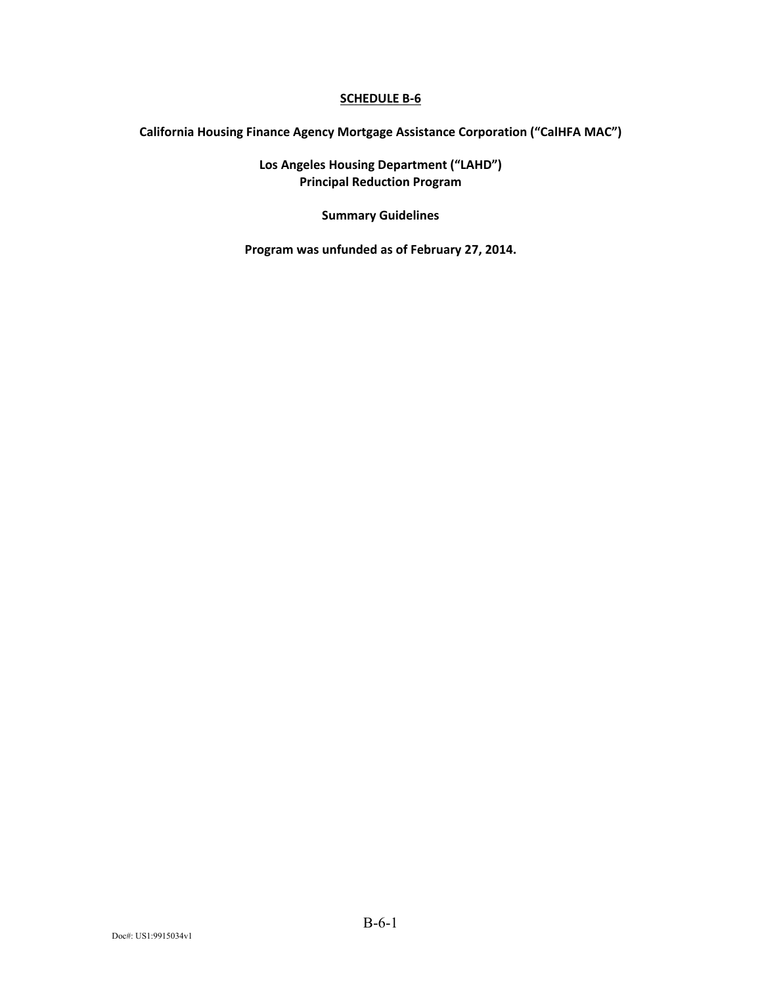**California Housing Finance Agency Mortgage Assistance Corporation ("CalHFA MAC")** 

**Los Angeles Housing Department ("LAHD") Principal Reduction Program** 

**Summary Guidelines** 

**Program was unfunded as of February 27, 2014.**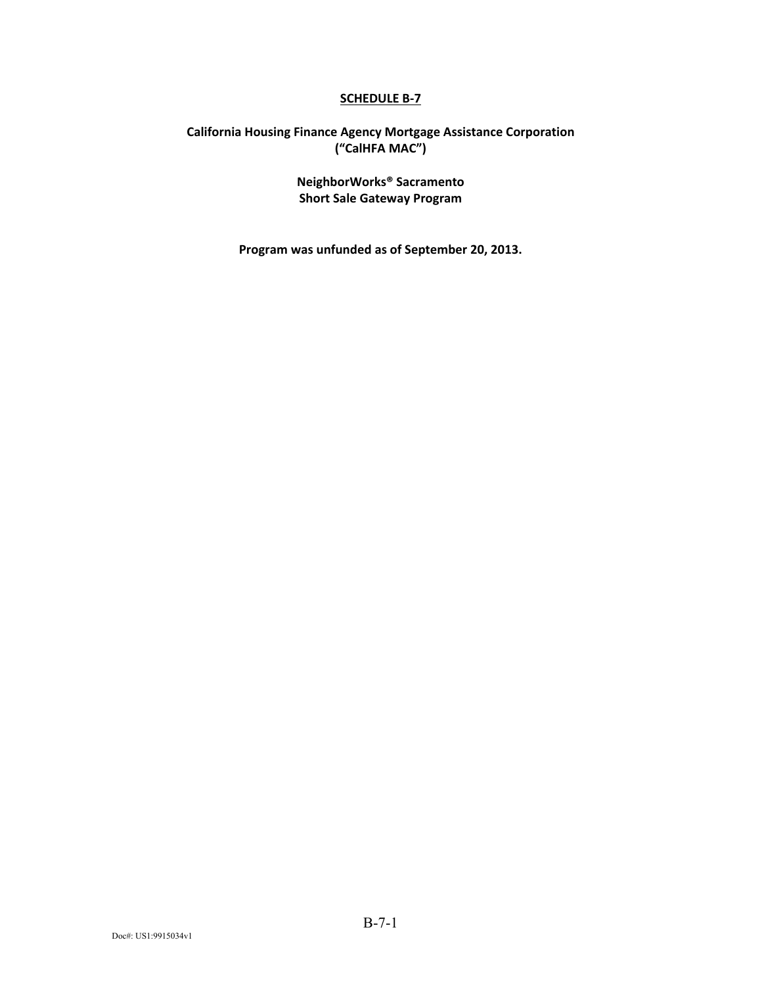### **California Housing Finance Agency Mortgage Assistance Corporation ("CalHFA MAC")**

**NeighborWorks® Sacramento Short Sale Gateway Program** 

**Program was unfunded as of September 20, 2013.**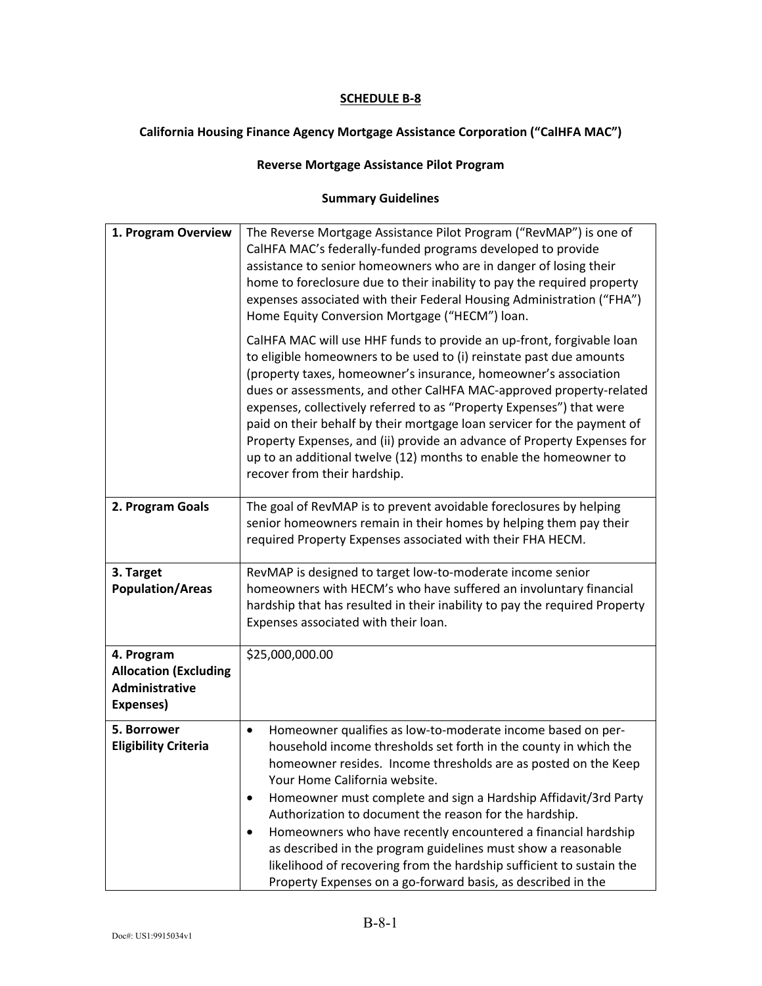### **California Housing Finance Agency Mortgage Assistance Corporation ("CalHFA MAC")**

### **Reverse Mortgage Assistance Pilot Program**

| 1. Program Overview                                                       | The Reverse Mortgage Assistance Pilot Program ("RevMAP") is one of<br>CalHFA MAC's federally-funded programs developed to provide<br>assistance to senior homeowners who are in danger of losing their<br>home to foreclosure due to their inability to pay the required property<br>expenses associated with their Federal Housing Administration ("FHA")<br>Home Equity Conversion Mortgage ("HECM") loan.                                                                                                                                                                                                                                                     |
|---------------------------------------------------------------------------|------------------------------------------------------------------------------------------------------------------------------------------------------------------------------------------------------------------------------------------------------------------------------------------------------------------------------------------------------------------------------------------------------------------------------------------------------------------------------------------------------------------------------------------------------------------------------------------------------------------------------------------------------------------|
|                                                                           | CalHFA MAC will use HHF funds to provide an up-front, forgivable loan<br>to eligible homeowners to be used to (i) reinstate past due amounts<br>(property taxes, homeowner's insurance, homeowner's association<br>dues or assessments, and other CalHFA MAC-approved property-related<br>expenses, collectively referred to as "Property Expenses") that were<br>paid on their behalf by their mortgage loan servicer for the payment of<br>Property Expenses, and (ii) provide an advance of Property Expenses for<br>up to an additional twelve (12) months to enable the homeowner to<br>recover from their hardship.                                        |
| 2. Program Goals                                                          | The goal of RevMAP is to prevent avoidable foreclosures by helping<br>senior homeowners remain in their homes by helping them pay their<br>required Property Expenses associated with their FHA HECM.                                                                                                                                                                                                                                                                                                                                                                                                                                                            |
| 3. Target<br><b>Population/Areas</b>                                      | RevMAP is designed to target low-to-moderate income senior<br>homeowners with HECM's who have suffered an involuntary financial<br>hardship that has resulted in their inability to pay the required Property<br>Expenses associated with their loan.                                                                                                                                                                                                                                                                                                                                                                                                            |
| 4. Program<br><b>Allocation (Excluding</b><br>Administrative<br>Expenses) | \$25,000,000.00                                                                                                                                                                                                                                                                                                                                                                                                                                                                                                                                                                                                                                                  |
| 5. Borrower<br><b>Eligibility Criteria</b>                                | Homeowner qualifies as low-to-moderate income based on per-<br>$\bullet$<br>household income thresholds set forth in the county in which the<br>homeowner resides. Income thresholds are as posted on the Keep<br>Your Home California website.<br>Homeowner must complete and sign a Hardship Affidavit/3rd Party<br>٠<br>Authorization to document the reason for the hardship.<br>Homeowners who have recently encountered a financial hardship<br>٠<br>as described in the program guidelines must show a reasonable<br>likelihood of recovering from the hardship sufficient to sustain the<br>Property Expenses on a go-forward basis, as described in the |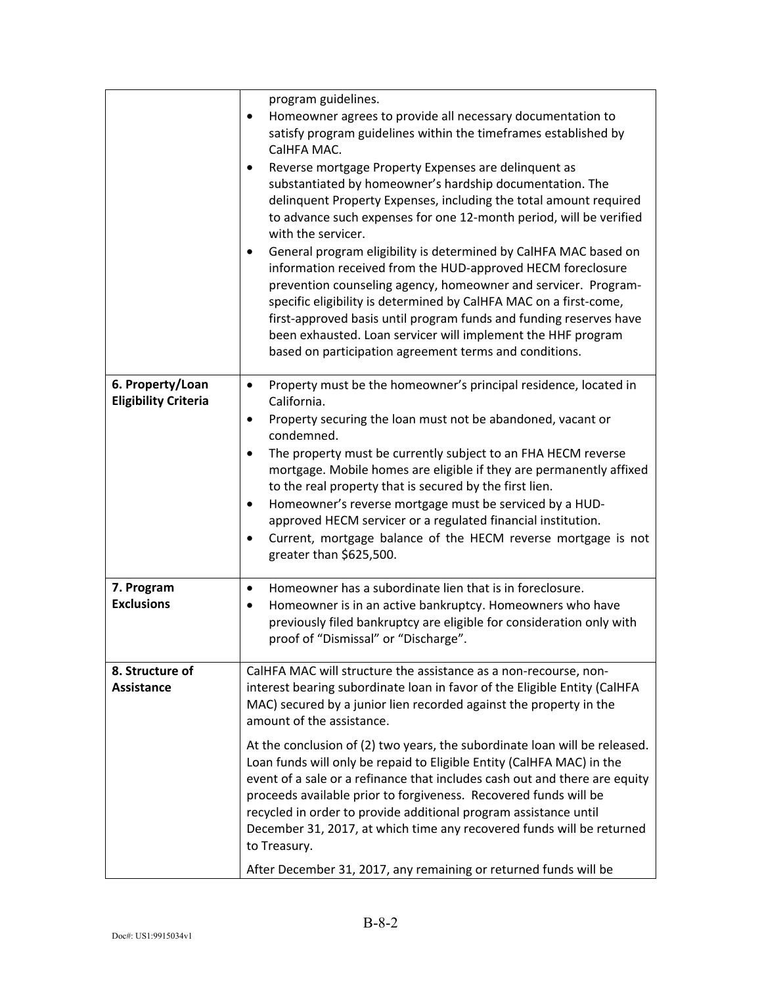|                                                 | program guidelines.                                                                                                                                                                                                                                                                                                                                                                                                                                                         |
|-------------------------------------------------|-----------------------------------------------------------------------------------------------------------------------------------------------------------------------------------------------------------------------------------------------------------------------------------------------------------------------------------------------------------------------------------------------------------------------------------------------------------------------------|
|                                                 | Homeowner agrees to provide all necessary documentation to<br>satisfy program guidelines within the timeframes established by<br>CalHFA MAC.                                                                                                                                                                                                                                                                                                                                |
|                                                 | Reverse mortgage Property Expenses are delinquent as<br>substantiated by homeowner's hardship documentation. The<br>delinquent Property Expenses, including the total amount required<br>to advance such expenses for one 12-month period, will be verified<br>with the servicer.                                                                                                                                                                                           |
|                                                 | General program eligibility is determined by CalHFA MAC based on<br>٠<br>information received from the HUD-approved HECM foreclosure<br>prevention counseling agency, homeowner and servicer. Program-<br>specific eligibility is determined by CalHFA MAC on a first-come,<br>first-approved basis until program funds and funding reserves have<br>been exhausted. Loan servicer will implement the HHF program<br>based on participation agreement terms and conditions. |
| 6. Property/Loan<br><b>Eligibility Criteria</b> | Property must be the homeowner's principal residence, located in<br>$\bullet$<br>California.                                                                                                                                                                                                                                                                                                                                                                                |
|                                                 | Property securing the loan must not be abandoned, vacant or<br>٠<br>condemned.                                                                                                                                                                                                                                                                                                                                                                                              |
|                                                 | The property must be currently subject to an FHA HECM reverse<br>$\bullet$<br>mortgage. Mobile homes are eligible if they are permanently affixed<br>to the real property that is secured by the first lien.<br>Homeowner's reverse mortgage must be serviced by a HUD-<br>٠<br>approved HECM servicer or a regulated financial institution.<br>Current, mortgage balance of the HECM reverse mortgage is not<br>$\bullet$<br>greater than \$625,500.                       |
| 7. Program<br><b>Exclusions</b>                 | Homeowner has a subordinate lien that is in foreclosure.<br>$\bullet$<br>Homeowner is in an active bankruptcy. Homeowners who have<br>$\bullet$<br>previously filed bankruptcy are eligible for consideration only with<br>proof of "Dismissal" or "Discharge".                                                                                                                                                                                                             |
| 8. Structure of<br><b>Assistance</b>            | CalHFA MAC will structure the assistance as a non-recourse, non-<br>interest bearing subordinate loan in favor of the Eligible Entity (CalHFA<br>MAC) secured by a junior lien recorded against the property in the<br>amount of the assistance.                                                                                                                                                                                                                            |
|                                                 | At the conclusion of (2) two years, the subordinate loan will be released.<br>Loan funds will only be repaid to Eligible Entity (CalHFA MAC) in the<br>event of a sale or a refinance that includes cash out and there are equity<br>proceeds available prior to forgiveness. Recovered funds will be<br>recycled in order to provide additional program assistance until<br>December 31, 2017, at which time any recovered funds will be returned<br>to Treasury.          |
|                                                 | After December 31, 2017, any remaining or returned funds will be                                                                                                                                                                                                                                                                                                                                                                                                            |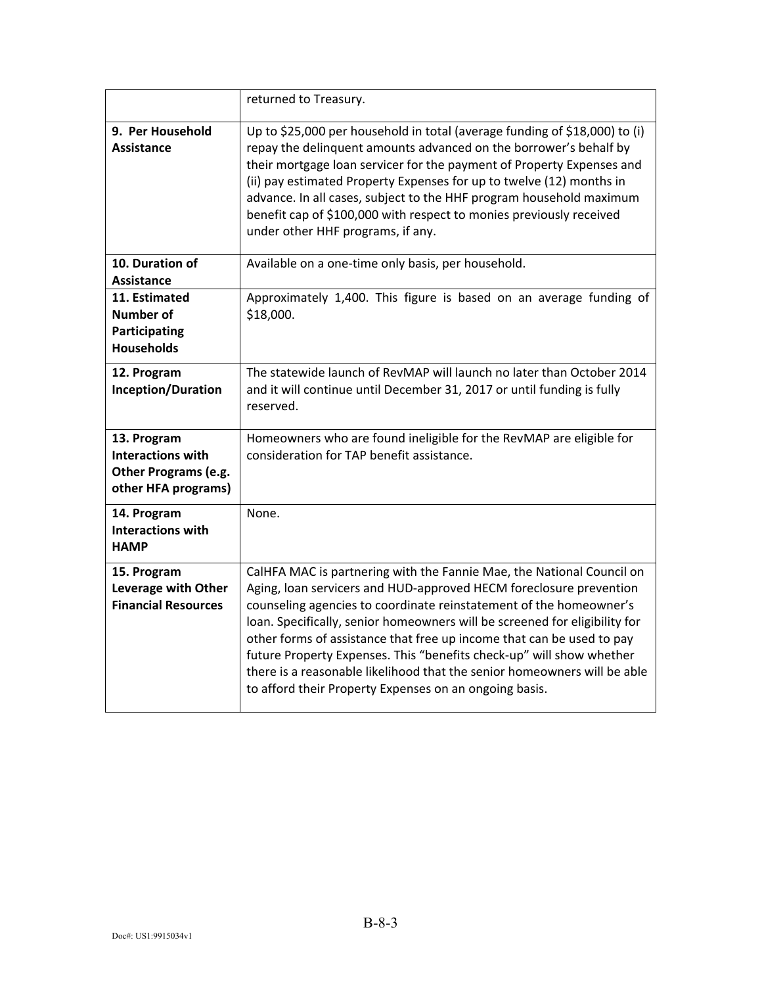|                                                                                        | returned to Treasury.                                                                                                                                                                                                                                                                                                                                                                                                                                                                                                                                                                  |
|----------------------------------------------------------------------------------------|----------------------------------------------------------------------------------------------------------------------------------------------------------------------------------------------------------------------------------------------------------------------------------------------------------------------------------------------------------------------------------------------------------------------------------------------------------------------------------------------------------------------------------------------------------------------------------------|
| 9. Per Household<br><b>Assistance</b>                                                  | Up to \$25,000 per household in total (average funding of \$18,000) to (i)<br>repay the delinquent amounts advanced on the borrower's behalf by<br>their mortgage loan servicer for the payment of Property Expenses and<br>(ii) pay estimated Property Expenses for up to twelve (12) months in<br>advance. In all cases, subject to the HHF program household maximum<br>benefit cap of \$100,000 with respect to monies previously received<br>under other HHF programs, if any.                                                                                                    |
| 10. Duration of<br>Assistance                                                          | Available on a one-time only basis, per household.                                                                                                                                                                                                                                                                                                                                                                                                                                                                                                                                     |
| 11. Estimated<br><b>Number of</b><br>Participating<br><b>Households</b>                | Approximately 1,400. This figure is based on an average funding of<br>\$18,000.                                                                                                                                                                                                                                                                                                                                                                                                                                                                                                        |
| 12. Program<br>Inception/Duration                                                      | The statewide launch of RevMAP will launch no later than October 2014<br>and it will continue until December 31, 2017 or until funding is fully<br>reserved.                                                                                                                                                                                                                                                                                                                                                                                                                           |
| 13. Program<br><b>Interactions with</b><br>Other Programs (e.g.<br>other HFA programs) | Homeowners who are found ineligible for the RevMAP are eligible for<br>consideration for TAP benefit assistance.                                                                                                                                                                                                                                                                                                                                                                                                                                                                       |
| 14. Program<br><b>Interactions with</b><br><b>HAMP</b>                                 | None.                                                                                                                                                                                                                                                                                                                                                                                                                                                                                                                                                                                  |
| 15. Program<br>Leverage with Other<br><b>Financial Resources</b>                       | CalHFA MAC is partnering with the Fannie Mae, the National Council on<br>Aging, Ioan servicers and HUD-approved HECM foreclosure prevention<br>counseling agencies to coordinate reinstatement of the homeowner's<br>loan. Specifically, senior homeowners will be screened for eligibility for<br>other forms of assistance that free up income that can be used to pay<br>future Property Expenses. This "benefits check-up" will show whether<br>there is a reasonable likelihood that the senior homeowners will be able<br>to afford their Property Expenses on an ongoing basis. |